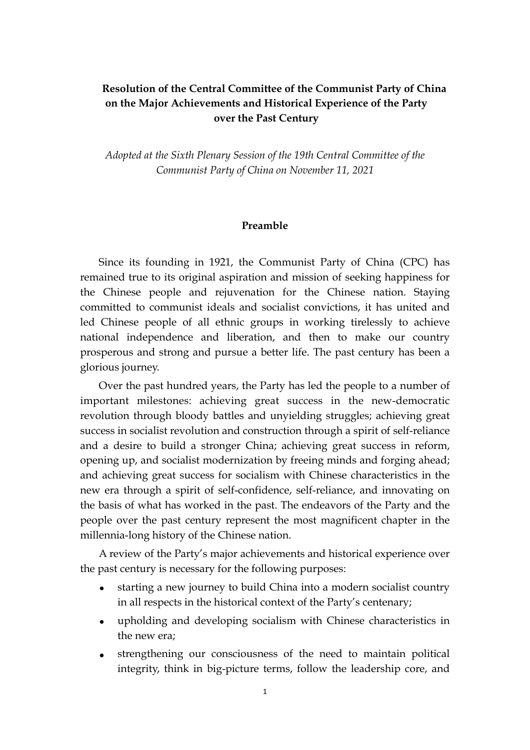# **Resolution of the Central Committee of the Communist Party of China on the Major Achievements and Historical Experience of the Party over the Past Century**

*Adopted at the Sixth Plenary Session of the 19th Central Committee of the Communist Party of China on November 11, 2021* 

### **Preamble**

Since its founding in 1921, the Communist Party of China (CPC) has remained true to its original aspiration and mission of seeking happiness for the Chinese people and rejuvenation for the Chinese nation. Staying committed to communist ideals and socialist convictions, it has united and led Chinese people of all ethnic groups in working tirelessly to achieve national independence and liberation, and then to make our country prosperous and strong and pursue a better life. The past century has been a glorious journey.

Over the past hundred years, the Party has led the people to a number of important milestones: achieving great success in the new-democratic revolution through bloody battles and unyielding struggles; achieving great success in socialist revolution and construction through a spirit of self-reliance and a desire to build a stronger China; achieving great success in reform, opening up, and socialist modernization by freeing minds and forging ahead; and achieving great success for socialism with Chinese characteristics in the new era through a spirit of self-confidence, self-reliance, and innovating on the basis of what has worked in the past. The endeavors of the Party and the people over the past century represent the most magnificent chapter in the millennia-long history of the Chinese nation.

A review of the Party's major achievements and historical experience over the past century is necessary for the following purposes:

- starting a new journey to build China into a modern socialist country in all respects in the historical context of the Party's centenary;
- upholding and developing socialism with Chinese characteristics in the new era;
- strengthening our consciousness of the need to maintain political integrity, think in big-picture terms, follow the leadership core, and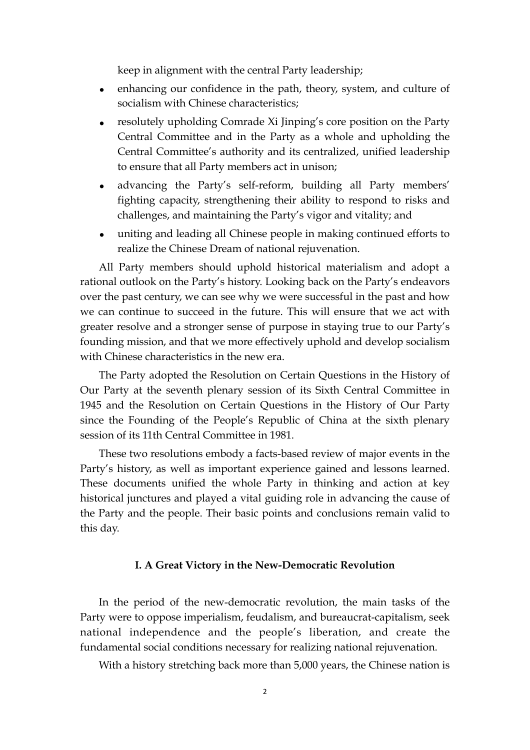keep in alignment with the central Party leadership;

- enhancing our confidence in the path, theory, system, and culture of socialism with Chinese characteristics;
- resolutely upholding Comrade Xi Jinping's core position on the Party Central Committee and in the Party as a whole and upholding the Central Committee's authority and its centralized, unified leadership to ensure that all Party members act in unison;
- advancing the Party's self-reform, building all Party members' fighting capacity, strengthening their ability to respond to risks and challenges, and maintaining the Party's vigor and vitality; and
- uniting and leading all Chinese people in making continued efforts to realize the Chinese Dream of national rejuvenation.

All Party members should uphold historical materialism and adopt a rational outlook on the Party's history. Looking back on the Party's endeavors over the past century, we can see why we were successful in the past and how we can continue to succeed in the future. This will ensure that we act with greater resolve and a stronger sense of purpose in staying true to our Party's founding mission, and that we more effectively uphold and develop socialism with Chinese characteristics in the new era.

The Party adopted the Resolution on Certain Questions in the History of Our Party at the seventh plenary session of its Sixth Central Committee in 1945 and the Resolution on Certain Questions in the History of Our Party since the Founding of the People's Republic of China at the sixth plenary session of its 11th Central Committee in 1981.

These two resolutions embody a facts-based review of major events in the Party's history, as well as important experience gained and lessons learned. These documents unified the whole Party in thinking and action at key historical junctures and played a vital guiding role in advancing the cause of the Party and the people. Their basic points and conclusions remain valid to this day.

### **I. A Great Victory in the New-Democratic Revolution**

In the period of the new-democratic revolution, the main tasks of the Party were to oppose imperialism, feudalism, and bureaucrat-capitalism, seek national independence and the people's liberation, and create the fundamental social conditions necessary for realizing national rejuvenation.

With a history stretching back more than 5,000 years, the Chinese nation is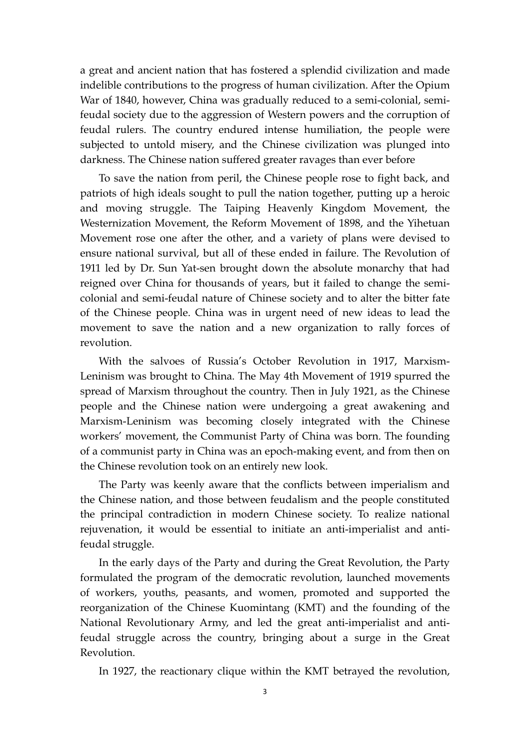a great and ancient nation that has fostered a splendid civilization and made indelible contributions to the progress of human civilization. After the Opium War of 1840, however, China was gradually reduced to a semi-colonial, semifeudal society due to the aggression of Western powers and the corruption of feudal rulers. The country endured intense humiliation, the people were subjected to untold misery, and the Chinese civilization was plunged into darkness. The Chinese nation suffered greater ravages than ever before

To save the nation from peril, the Chinese people rose to fight back, and patriots of high ideals sought to pull the nation together, putting up a heroic and moving struggle. The Taiping Heavenly Kingdom Movement, the Westernization Movement, the Reform Movement of 1898, and the Yihetuan Movement rose one after the other, and a variety of plans were devised to ensure national survival, but all of these ended in failure. The Revolution of 1911 led by Dr. Sun Yat-sen brought down the absolute monarchy that had reigned over China for thousands of years, but it failed to change the semicolonial and semi-feudal nature of Chinese society and to alter the bitter fate of the Chinese people. China was in urgent need of new ideas to lead the movement to save the nation and a new organization to rally forces of revolution.

With the salvoes of Russia's October Revolution in 1917, Marxism-Leninism was brought to China. The May 4th Movement of 1919 spurred the spread of Marxism throughout the country. Then in July 1921, as the Chinese people and the Chinese nation were undergoing a great awakening and Marxism-Leninism was becoming closely integrated with the Chinese workers' movement, the Communist Party of China was born. The founding of a communist party in China was an epoch-making event, and from then on the Chinese revolution took on an entirely new look.

The Party was keenly aware that the conflicts between imperialism and the Chinese nation, and those between feudalism and the people constituted the principal contradiction in modern Chinese society. To realize national rejuvenation, it would be essential to initiate an anti-imperialist and antifeudal struggle.

In the early days of the Party and during the Great Revolution, the Party formulated the program of the democratic revolution, launched movements of workers, youths, peasants, and women, promoted and supported the reorganization of the Chinese Kuomintang (KMT) and the founding of the National Revolutionary Army, and led the great anti-imperialist and antifeudal struggle across the country, bringing about a surge in the Great Revolution.

In 1927, the reactionary clique within the KMT betrayed the revolution,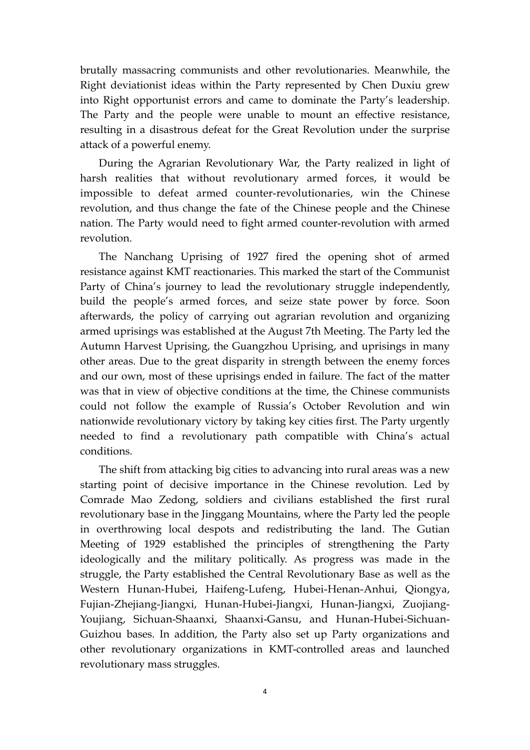brutally massacring communists and other revolutionaries. Meanwhile, the Right deviationist ideas within the Party represented by Chen Duxiu grew into Right opportunist errors and came to dominate the Party's leadership. The Party and the people were unable to mount an effective resistance, resulting in a disastrous defeat for the Great Revolution under the surprise attack of a powerful enemy.

During the Agrarian Revolutionary War, the Party realized in light of harsh realities that without revolutionary armed forces, it would be impossible to defeat armed counter-revolutionaries, win the Chinese revolution, and thus change the fate of the Chinese people and the Chinese nation. The Party would need to fight armed counter-revolution with armed revolution.

The Nanchang Uprising of 1927 fired the opening shot of armed resistance against KMT reactionaries. This marked the start of the Communist Party of China's journey to lead the revolutionary struggle independently, build the people's armed forces, and seize state power by force. Soon afterwards, the policy of carrying out agrarian revolution and organizing armed uprisings was established at the August 7th Meeting. The Party led the Autumn Harvest Uprising, the Guangzhou Uprising, and uprisings in many other areas. Due to the great disparity in strength between the enemy forces and our own, most of these uprisings ended in failure. The fact of the matter was that in view of objective conditions at the time, the Chinese communists could not follow the example of Russia's October Revolution and win nationwide revolutionary victory by taking key cities first. The Party urgently needed to find a revolutionary path compatible with China's actual conditions.

The shift from attacking big cities to advancing into rural areas was a new starting point of decisive importance in the Chinese revolution. Led by Comrade Mao Zedong, soldiers and civilians established the first rural revolutionary base in the Jinggang Mountains, where the Party led the people in overthrowing local despots and redistributing the land. The Gutian Meeting of 1929 established the principles of strengthening the Party ideologically and the military politically. As progress was made in the struggle, the Party established the Central Revolutionary Base as well as the Western Hunan-Hubei, Haifeng-Lufeng, Hubei-Henan-Anhui, Qiongya, Fujian-Zhejiang-Jiangxi, Hunan-Hubei-Jiangxi, Hunan-Jiangxi, Zuojiang-Youjiang, Sichuan-Shaanxi, Shaanxi-Gansu, and Hunan-Hubei-Sichuan-Guizhou bases. In addition, the Party also set up Party organizations and other revolutionary organizations in KMT-controlled areas and launched revolutionary mass struggles.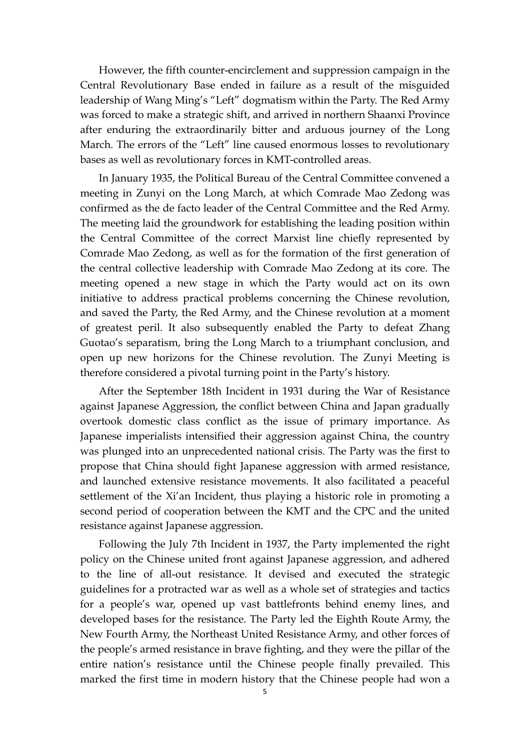However, the fifth counter-encirclement and suppression campaign in the Central Revolutionary Base ended in failure as a result of the misguided leadership of Wang Ming's "Left" dogmatism within the Party. The Red Army was forced to make a strategic shift, and arrived in northern Shaanxi Province after enduring the extraordinarily bitter and arduous journey of the Long March. The errors of the "Left" line caused enormous losses to revolutionary bases as well as revolutionary forces in KMT-controlled areas.

In January 1935, the Political Bureau of the Central Committee convened a meeting in Zunyi on the Long March, at which Comrade Mao Zedong was confirmed as the de facto leader of the Central Committee and the Red Army. The meeting laid the groundwork for establishing the leading position within the Central Committee of the correct Marxist line chiefly represented by Comrade Mao Zedong, as well as for the formation of the first generation of the central collective leadership with Comrade Mao Zedong at its core. The meeting opened a new stage in which the Party would act on its own initiative to address practical problems concerning the Chinese revolution, and saved the Party, the Red Army, and the Chinese revolution at a moment of greatest peril. It also subsequently enabled the Party to defeat Zhang Guotao's separatism, bring the Long March to a triumphant conclusion, and open up new horizons for the Chinese revolution. The Zunyi Meeting is therefore considered a pivotal turning point in the Party's history.

After the September 18th Incident in 1931 during the War of Resistance against Japanese Aggression, the conflict between China and Japan gradually overtook domestic class conflict as the issue of primary importance. As Japanese imperialists intensified their aggression against China, the country was plunged into an unprecedented national crisis. The Party was the first to propose that China should fight Japanese aggression with armed resistance, and launched extensive resistance movements. It also facilitated a peaceful settlement of the Xi'an Incident, thus playing a historic role in promoting a second period of cooperation between the KMT and the CPC and the united resistance against Japanese aggression.

Following the July 7th Incident in 1937, the Party implemented the right policy on the Chinese united front against Japanese aggression, and adhered to the line of all-out resistance. It devised and executed the strategic guidelines for a protracted war as well as a whole set of strategies and tactics for a people's war, opened up vast battlefronts behind enemy lines, and developed bases for the resistance. The Party led the Eighth Route Army, the New Fourth Army, the Northeast United Resistance Army, and other forces of the people's armed resistance in brave fighting, and they were the pillar of the entire nation's resistance until the Chinese people finally prevailed. This marked the first time in modern history that the Chinese people had won a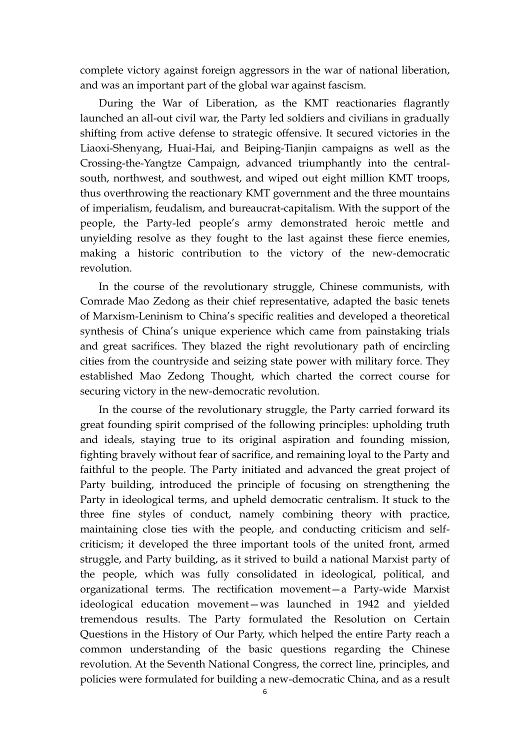complete victory against foreign aggressors in the war of national liberation, and was an important part of the global war against fascism.

During the War of Liberation, as the KMT reactionaries flagrantly launched an all-out civil war, the Party led soldiers and civilians in gradually shifting from active defense to strategic offensive. It secured victories in the Liaoxi-Shenyang, Huai-Hai, and Beiping-Tianjin campaigns as well as the Crossing-the-Yangtze Campaign, advanced triumphantly into the centralsouth, northwest, and southwest, and wiped out eight million KMT troops, thus overthrowing the reactionary KMT government and the three mountains of imperialism, feudalism, and bureaucrat-capitalism. With the support of the people, the Party-led people's army demonstrated heroic mettle and unyielding resolve as they fought to the last against these fierce enemies, making a historic contribution to the victory of the new-democratic revolution.

In the course of the revolutionary struggle, Chinese communists, with Comrade Mao Zedong as their chief representative, adapted the basic tenets of Marxism-Leninism to China's specific realities and developed a theoretical synthesis of China's unique experience which came from painstaking trials and great sacrifices. They blazed the right revolutionary path of encircling cities from the countryside and seizing state power with military force. They established Mao Zedong Thought, which charted the correct course for securing victory in the new-democratic revolution.

In the course of the revolutionary struggle, the Party carried forward its great founding spirit comprised of the following principles: upholding truth and ideals, staying true to its original aspiration and founding mission, fighting bravely without fear of sacrifice, and remaining loyal to the Party and faithful to the people. The Party initiated and advanced the great project of Party building, introduced the principle of focusing on strengthening the Party in ideological terms, and upheld democratic centralism. It stuck to the three fine styles of conduct, namely combining theory with practice, maintaining close ties with the people, and conducting criticism and selfcriticism; it developed the three important tools of the united front, armed struggle, and Party building, as it strived to build a national Marxist party of the people, which was fully consolidated in ideological, political, and organizational terms. The rectification movement—a Party-wide Marxist ideological education movement—was launched in 1942 and yielded tremendous results. The Party formulated the Resolution on Certain Questions in the History of Our Party, which helped the entire Party reach a common understanding of the basic questions regarding the Chinese revolution. At the Seventh National Congress, the correct line, principles, and policies were formulated for building a new-democratic China, and as a result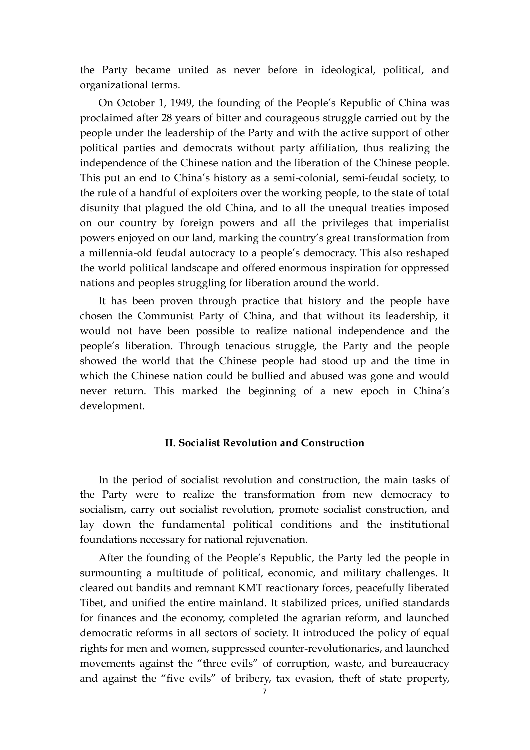the Party became united as never before in ideological, political, and organizational terms.

On October 1, 1949, the founding of the People's Republic of China was proclaimed after 28 years of bitter and courageous struggle carried out by the people under the leadership of the Party and with the active support of other political parties and democrats without party affiliation, thus realizing the independence of the Chinese nation and the liberation of the Chinese people. This put an end to China's history as a semi-colonial, semi-feudal society, to the rule of a handful of exploiters over the working people, to the state of total disunity that plagued the old China, and to all the unequal treaties imposed on our country by foreign powers and all the privileges that imperialist powers enjoyed on our land, marking the country's great transformation from a millennia-old feudal autocracy to a people's democracy. This also reshaped the world political landscape and offered enormous inspiration for oppressed nations and peoples struggling for liberation around the world.

It has been proven through practice that history and the people have chosen the Communist Party of China, and that without its leadership, it would not have been possible to realize national independence and the people's liberation. Through tenacious struggle, the Party and the people showed the world that the Chinese people had stood up and the time in which the Chinese nation could be bullied and abused was gone and would never return. This marked the beginning of a new epoch in China's development.

### **II. Socialist Revolution and Construction**

In the period of socialist revolution and construction, the main tasks of the Party were to realize the transformation from new democracy to socialism, carry out socialist revolution, promote socialist construction, and lay down the fundamental political conditions and the institutional foundations necessary for national rejuvenation.

After the founding of the People's Republic, the Party led the people in surmounting a multitude of political, economic, and military challenges. It cleared out bandits and remnant KMT reactionary forces, peacefully liberated Tibet, and unified the entire mainland. It stabilized prices, unified standards for finances and the economy, completed the agrarian reform, and launched democratic reforms in all sectors of society. It introduced the policy of equal rights for men and women, suppressed counter-revolutionaries, and launched movements against the "three evils" of corruption, waste, and bureaucracy and against the "five evils" of bribery, tax evasion, theft of state property,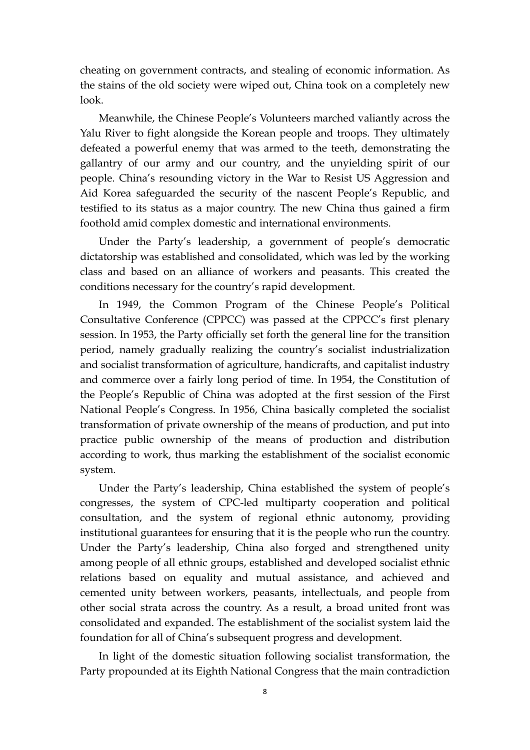cheating on government contracts, and stealing of economic information. As the stains of the old society were wiped out, China took on a completely new look.

Meanwhile, the Chinese People's Volunteers marched valiantly across the Yalu River to fight alongside the Korean people and troops. They ultimately defeated a powerful enemy that was armed to the teeth, demonstrating the gallantry of our army and our country, and the unyielding spirit of our people. China's resounding victory in the War to Resist US Aggression and Aid Korea safeguarded the security of the nascent People's Republic, and testified to its status as a major country. The new China thus gained a firm foothold amid complex domestic and international environments.

Under the Party's leadership, a government of people's democratic dictatorship was established and consolidated, which was led by the working class and based on an alliance of workers and peasants. This created the conditions necessary for the country's rapid development.

In 1949, the Common Program of the Chinese People's Political Consultative Conference (CPPCC) was passed at the CPPCC's first plenary session. In 1953, the Party officially set forth the general line for the transition period, namely gradually realizing the country's socialist industrialization and socialist transformation of agriculture, handicrafts, and capitalist industry and commerce over a fairly long period of time. In 1954, the Constitution of the People's Republic of China was adopted at the first session of the First National People's Congress. In 1956, China basically completed the socialist transformation of private ownership of the means of production, and put into practice public ownership of the means of production and distribution according to work, thus marking the establishment of the socialist economic system.

Under the Party's leadership, China established the system of people's congresses, the system of CPC-led multiparty cooperation and political consultation, and the system of regional ethnic autonomy, providing institutional guarantees for ensuring that it is the people who run the country. Under the Party's leadership, China also forged and strengthened unity among people of all ethnic groups, established and developed socialist ethnic relations based on equality and mutual assistance, and achieved and cemented unity between workers, peasants, intellectuals, and people from other social strata across the country. As a result, a broad united front was consolidated and expanded. The establishment of the socialist system laid the foundation for all of China's subsequent progress and development.

In light of the domestic situation following socialist transformation, the Party propounded at its Eighth National Congress that the main contradiction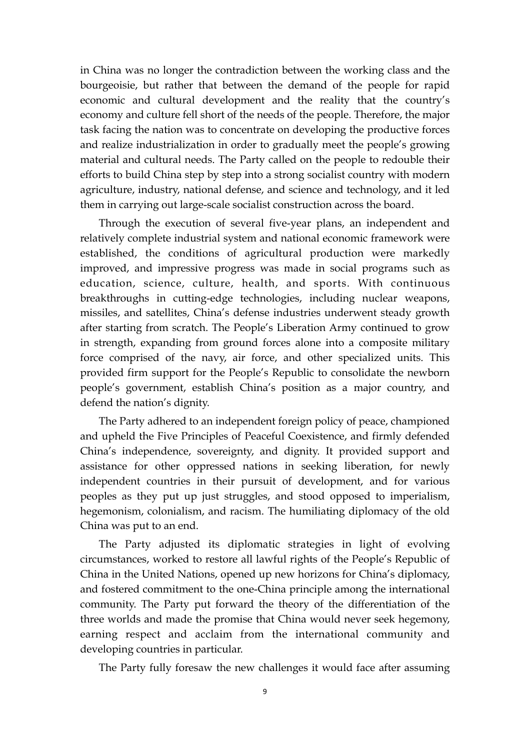in China was no longer the contradiction between the working class and the bourgeoisie, but rather that between the demand of the people for rapid economic and cultural development and the reality that the country's economy and culture fell short of the needs of the people. Therefore, the major task facing the nation was to concentrate on developing the productive forces and realize industrialization in order to gradually meet the people's growing material and cultural needs. The Party called on the people to redouble their efforts to build China step by step into a strong socialist country with modern agriculture, industry, national defense, and science and technology, and it led them in carrying out large-scale socialist construction across the board.

Through the execution of several five-year plans, an independent and relatively complete industrial system and national economic framework were established, the conditions of agricultural production were markedly improved, and impressive progress was made in social programs such as education, science, culture, health, and sports. With continuous breakthroughs in cutting-edge technologies, including nuclear weapons, missiles, and satellites, China's defense industries underwent steady growth after starting from scratch. The People's Liberation Army continued to grow in strength, expanding from ground forces alone into a composite military force comprised of the navy, air force, and other specialized units. This provided firm support for the People's Republic to consolidate the newborn people's government, establish China's position as a major country, and defend the nation's dignity.

The Party adhered to an independent foreign policy of peace, championed and upheld the Five Principles of Peaceful Coexistence, and firmly defended China's independence, sovereignty, and dignity. It provided support and assistance for other oppressed nations in seeking liberation, for newly independent countries in their pursuit of development, and for various peoples as they put up just struggles, and stood opposed to imperialism, hegemonism, colonialism, and racism. The humiliating diplomacy of the old China was put to an end.

The Party adjusted its diplomatic strategies in light of evolving circumstances, worked to restore all lawful rights of the People's Republic of China in the United Nations, opened up new horizons for China's diplomacy, and fostered commitment to the one-China principle among the international community. The Party put forward the theory of the differentiation of the three worlds and made the promise that China would never seek hegemony, earning respect and acclaim from the international community and developing countries in particular.

The Party fully foresaw the new challenges it would face after assuming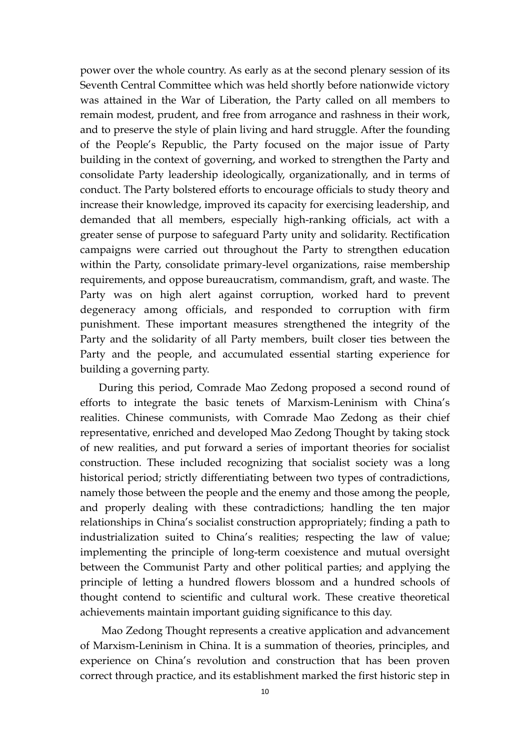power over the whole country. As early as at the second plenary session of its Seventh Central Committee which was held shortly before nationwide victory was attained in the War of Liberation, the Party called on all members to remain modest, prudent, and free from arrogance and rashness in their work, and to preserve the style of plain living and hard struggle. After the founding of the People's Republic, the Party focused on the major issue of Party building in the context of governing, and worked to strengthen the Party and consolidate Party leadership ideologically, organizationally, and in terms of conduct. The Party bolstered efforts to encourage officials to study theory and increase their knowledge, improved its capacity for exercising leadership, and demanded that all members, especially high-ranking officials, act with a greater sense of purpose to safeguard Party unity and solidarity. Rectification campaigns were carried out throughout the Party to strengthen education within the Party, consolidate primary-level organizations, raise membership requirements, and oppose bureaucratism, commandism, graft, and waste. The Party was on high alert against corruption, worked hard to prevent degeneracy among officials, and responded to corruption with firm punishment. These important measures strengthened the integrity of the Party and the solidarity of all Party members, built closer ties between the Party and the people, and accumulated essential starting experience for building a governing party.

During this period, Comrade Mao Zedong proposed a second round of efforts to integrate the basic tenets of Marxism-Leninism with China's realities. Chinese communists, with Comrade Mao Zedong as their chief representative, enriched and developed Mao Zedong Thought by taking stock of new realities, and put forward a series of important theories for socialist construction. These included recognizing that socialist society was a long historical period; strictly differentiating between two types of contradictions, namely those between the people and the enemy and those among the people, and properly dealing with these contradictions; handling the ten major relationships in China's socialist construction appropriately; finding a path to industrialization suited to China's realities; respecting the law of value; implementing the principle of long-term coexistence and mutual oversight between the Communist Party and other political parties; and applying the principle of letting a hundred flowers blossom and a hundred schools of thought contend to scientific and cultural work. These creative theoretical achievements maintain important guiding significance to this day.

Mao Zedong Thought represents a creative application and advancement of Marxism-Leninism in China. It is a summation of theories, principles, and experience on China's revolution and construction that has been proven correct through practice, and its establishment marked the first historic step in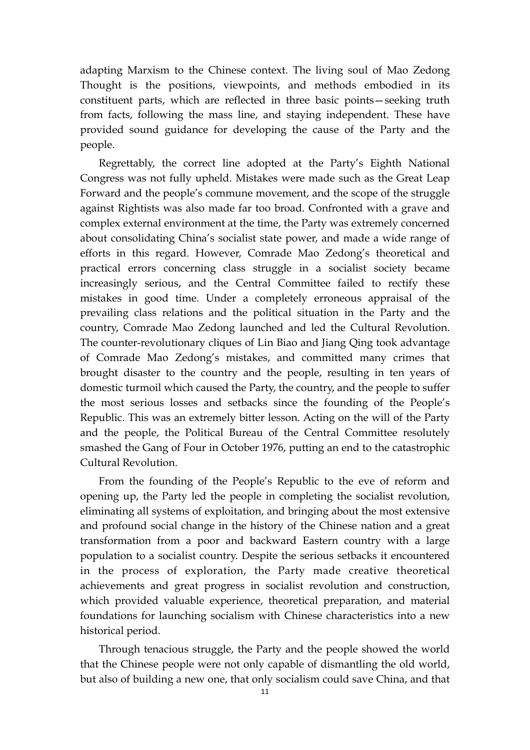adapting Marxism to the Chinese context. The living soul of Mao Zedong Thought is the positions, viewpoints, and methods embodied in its constituent parts, which are reflected in three basic points—seeking truth from facts, following the mass line, and staying independent. These have provided sound guidance for developing the cause of the Party and the people.

Regrettably, the correct line adopted at the Party's Eighth National Congress was not fully upheld. Mistakes were made such as the Great Leap Forward and the people's commune movement, and the scope of the struggle against Rightists was also made far too broad. Confronted with a grave and complex external environment at the time, the Party was extremely concerned about consolidating China's socialist state power, and made a wide range of efforts in this regard. However, Comrade Mao Zedong's theoretical and practical errors concerning class struggle in a socialist society became increasingly serious, and the Central Committee failed to rectify these mistakes in good time. Under a completely erroneous appraisal of the prevailing class relations and the political situation in the Party and the country, Comrade Mao Zedong launched and led the Cultural Revolution. The counter-revolutionary cliques of Lin Biao and Jiang Qing took advantage of Comrade Mao Zedong's mistakes, and committed many crimes that brought disaster to the country and the people, resulting in ten years of domestic turmoil which caused the Party, the country, and the people to suffer the most serious losses and setbacks since the founding of the People's Republic. This was an extremely bitter lesson. Acting on the will of the Party and the people, the Political Bureau of the Central Committee resolutely smashed the Gang of Four in October 1976, putting an end to the catastrophic Cultural Revolution.

From the founding of the People's Republic to the eve of reform and opening up, the Party led the people in completing the socialist revolution, eliminating all systems of exploitation, and bringing about the most extensive and profound social change in the history of the Chinese nation and a great transformation from a poor and backward Eastern country with a large population to a socialist country. Despite the serious setbacks it encountered in the process of exploration, the Party made creative theoretical achievements and great progress in socialist revolution and construction, which provided valuable experience, theoretical preparation, and material foundations for launching socialism with Chinese characteristics into a new historical period.

Through tenacious struggle, the Party and the people showed the world that the Chinese people were not only capable of dismantling the old world, but also of building a new one, that only socialism could save China, and that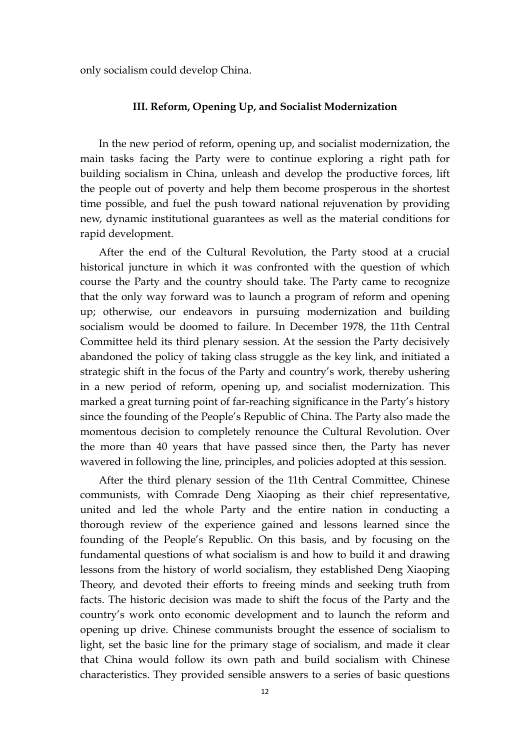only socialism could develop China.

### **III. Reform, Opening Up, and Socialist Modernization**

In the new period of reform, opening up, and socialist modernization, the main tasks facing the Party were to continue exploring a right path for building socialism in China, unleash and develop the productive forces, lift the people out of poverty and help them become prosperous in the shortest time possible, and fuel the push toward national rejuvenation by providing new, dynamic institutional guarantees as well as the material conditions for rapid development.

After the end of the Cultural Revolution, the Party stood at a crucial historical juncture in which it was confronted with the question of which course the Party and the country should take. The Party came to recognize that the only way forward was to launch a program of reform and opening up; otherwise, our endeavors in pursuing modernization and building socialism would be doomed to failure. In December 1978, the 11th Central Committee held its third plenary session. At the session the Party decisively abandoned the policy of taking class struggle as the key link, and initiated a strategic shift in the focus of the Party and country's work, thereby ushering in a new period of reform, opening up, and socialist modernization. This marked a great turning point of far-reaching significance in the Party's history since the founding of the People's Republic of China. The Party also made the momentous decision to completely renounce the Cultural Revolution. Over the more than 40 years that have passed since then, the Party has never wavered in following the line, principles, and policies adopted at this session.

After the third plenary session of the 11th Central Committee, Chinese communists, with Comrade Deng Xiaoping as their chief representative, united and led the whole Party and the entire nation in conducting a thorough review of the experience gained and lessons learned since the founding of the People's Republic. On this basis, and by focusing on the fundamental questions of what socialism is and how to build it and drawing lessons from the history of world socialism, they established Deng Xiaoping Theory, and devoted their efforts to freeing minds and seeking truth from facts. The historic decision was made to shift the focus of the Party and the country's work onto economic development and to launch the reform and opening up drive. Chinese communists brought the essence of socialism to light, set the basic line for the primary stage of socialism, and made it clear that China would follow its own path and build socialism with Chinese characteristics. They provided sensible answers to a series of basic questions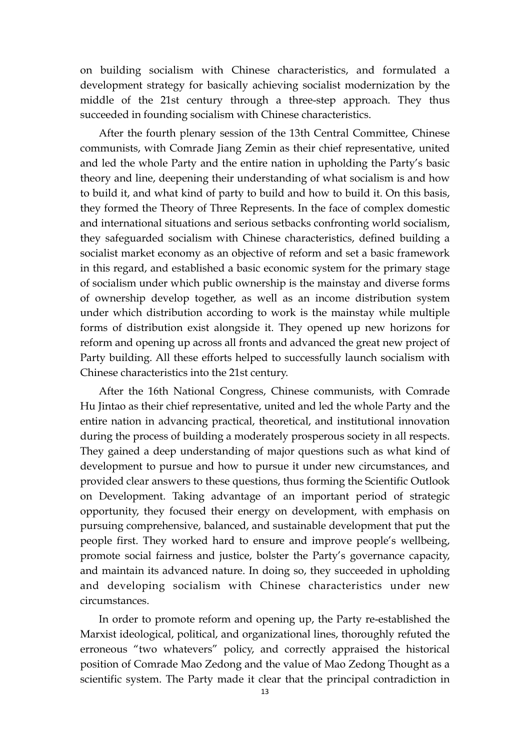on building socialism with Chinese characteristics, and formulated a development strategy for basically achieving socialist modernization by the middle of the 21st century through a three-step approach. They thus succeeded in founding socialism with Chinese characteristics.

After the fourth plenary session of the 13th Central Committee, Chinese communists, with Comrade Jiang Zemin as their chief representative, united and led the whole Party and the entire nation in upholding the Party's basic theory and line, deepening their understanding of what socialism is and how to build it, and what kind of party to build and how to build it. On this basis, they formed the Theory of Three Represents. In the face of complex domestic and international situations and serious setbacks confronting world socialism, they safeguarded socialism with Chinese characteristics, defined building a socialist market economy as an objective of reform and set a basic framework in this regard, and established a basic economic system for the primary stage of socialism under which public ownership is the mainstay and diverse forms of ownership develop together, as well as an income distribution system under which distribution according to work is the mainstay while multiple forms of distribution exist alongside it. They opened up new horizons for reform and opening up across all fronts and advanced the great new project of Party building. All these efforts helped to successfully launch socialism with Chinese characteristics into the 21st century.

After the 16th National Congress, Chinese communists, with Comrade Hu Jintao as their chief representative, united and led the whole Party and the entire nation in advancing practical, theoretical, and institutional innovation during the process of building a moderately prosperous society in all respects. They gained a deep understanding of major questions such as what kind of development to pursue and how to pursue it under new circumstances, and provided clear answers to these questions, thus forming the Scientific Outlook on Development. Taking advantage of an important period of strategic opportunity, they focused their energy on development, with emphasis on pursuing comprehensive, balanced, and sustainable development that put the people first. They worked hard to ensure and improve people's wellbeing, promote social fairness and justice, bolster the Party's governance capacity, and maintain its advanced nature. In doing so, they succeeded in upholding and developing socialism with Chinese characteristics under new circumstances.

In order to promote reform and opening up, the Party re-established the Marxist ideological, political, and organizational lines, thoroughly refuted the erroneous "two whatevers" policy, and correctly appraised the historical position of Comrade Mao Zedong and the value of Mao Zedong Thought as a scientific system. The Party made it clear that the principal contradiction in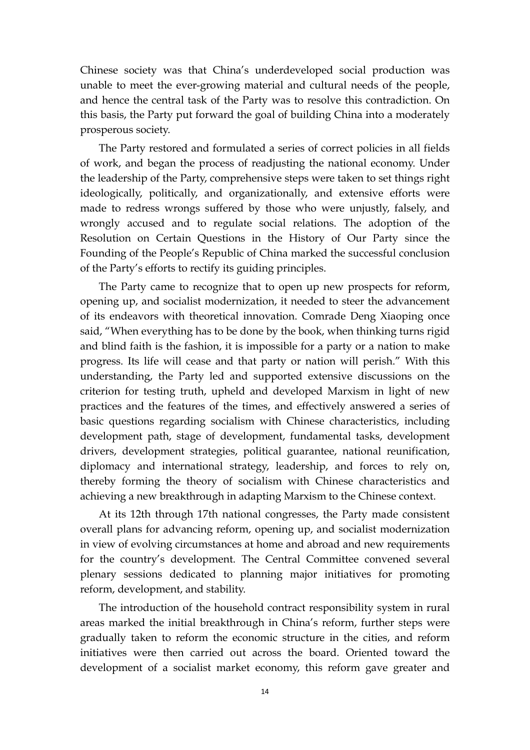Chinese society was that China's underdeveloped social production was unable to meet the ever-growing material and cultural needs of the people, and hence the central task of the Party was to resolve this contradiction. On this basis, the Party put forward the goal of building China into a moderately prosperous society.

The Party restored and formulated a series of correct policies in all fields of work, and began the process of readjusting the national economy. Under the leadership of the Party, comprehensive steps were taken to set things right ideologically, politically, and organizationally, and extensive efforts were made to redress wrongs suffered by those who were unjustly, falsely, and wrongly accused and to regulate social relations. The adoption of the Resolution on Certain Questions in the History of Our Party since the Founding of the People's Republic of China marked the successful conclusion of the Party's efforts to rectify its guiding principles.

The Party came to recognize that to open up new prospects for reform, opening up, and socialist modernization, it needed to steer the advancement of its endeavors with theoretical innovation. Comrade Deng Xiaoping once said, "When everything has to be done by the book, when thinking turns rigid and blind faith is the fashion, it is impossible for a party or a nation to make progress. Its life will cease and that party or nation will perish." With this understanding, the Party led and supported extensive discussions on the criterion for testing truth, upheld and developed Marxism in light of new practices and the features of the times, and effectively answered a series of basic questions regarding socialism with Chinese characteristics, including development path, stage of development, fundamental tasks, development drivers, development strategies, political guarantee, national reunification, diplomacy and international strategy, leadership, and forces to rely on, thereby forming the theory of socialism with Chinese characteristics and achieving a new breakthrough in adapting Marxism to the Chinese context.

At its 12th through 17th national congresses, the Party made consistent overall plans for advancing reform, opening up, and socialist modernization in view of evolving circumstances at home and abroad and new requirements for the country's development. The Central Committee convened several plenary sessions dedicated to planning major initiatives for promoting reform, development, and stability.

The introduction of the household contract responsibility system in rural areas marked the initial breakthrough in China's reform, further steps were gradually taken to reform the economic structure in the cities, and reform initiatives were then carried out across the board. Oriented toward the development of a socialist market economy, this reform gave greater and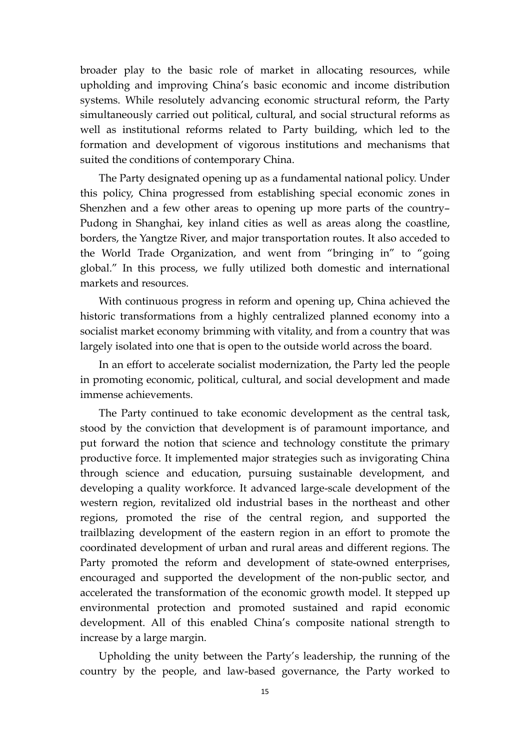broader play to the basic role of market in allocating resources, while upholding and improving China's basic economic and income distribution systems. While resolutely advancing economic structural reform, the Party simultaneously carried out political, cultural, and social structural reforms as well as institutional reforms related to Party building, which led to the formation and development of vigorous institutions and mechanisms that suited the conditions of contemporary China.

The Party designated opening up as a fundamental national policy. Under this policy, China progressed from establishing special economic zones in Shenzhen and a few other areas to opening up more parts of the country– Pudong in Shanghai, key inland cities as well as areas along the coastline, borders, the Yangtze River, and major transportation routes. It also acceded to the World Trade Organization, and went from "bringing in" to "going global." In this process, we fully utilized both domestic and international markets and resources.

With continuous progress in reform and opening up, China achieved the historic transformations from a highly centralized planned economy into a socialist market economy brimming with vitality, and from a country that was largely isolated into one that is open to the outside world across the board.

In an effort to accelerate socialist modernization, the Party led the people in promoting economic, political, cultural, and social development and made immense achievements.

The Party continued to take economic development as the central task, stood by the conviction that development is of paramount importance, and put forward the notion that science and technology constitute the primary productive force. It implemented major strategies such as invigorating China through science and education, pursuing sustainable development, and developing a quality workforce. It advanced large-scale development of the western region, revitalized old industrial bases in the northeast and other regions, promoted the rise of the central region, and supported the trailblazing development of the eastern region in an effort to promote the coordinated development of urban and rural areas and different regions. The Party promoted the reform and development of state-owned enterprises, encouraged and supported the development of the non-public sector, and accelerated the transformation of the economic growth model. It stepped up environmental protection and promoted sustained and rapid economic development. All of this enabled China's composite national strength to increase by a large margin.

Upholding the unity between the Party's leadership, the running of the country by the people, and law-based governance, the Party worked to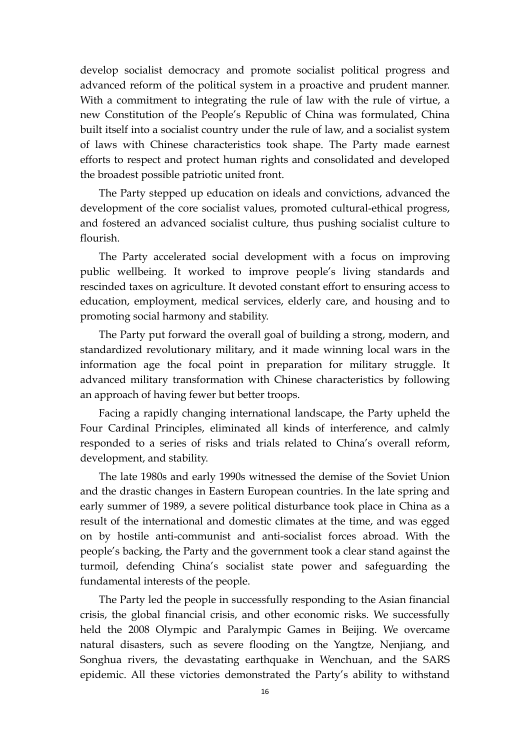develop socialist democracy and promote socialist political progress and advanced reform of the political system in a proactive and prudent manner. With a commitment to integrating the rule of law with the rule of virtue, a new Constitution of the People's Republic of China was formulated, China built itself into a socialist country under the rule of law, and a socialist system of laws with Chinese characteristics took shape. The Party made earnest efforts to respect and protect human rights and consolidated and developed the broadest possible patriotic united front.

The Party stepped up education on ideals and convictions, advanced the development of the core socialist values, promoted cultural-ethical progress, and fostered an advanced socialist culture, thus pushing socialist culture to flourish.

The Party accelerated social development with a focus on improving public wellbeing. It worked to improve people's living standards and rescinded taxes on agriculture. It devoted constant effort to ensuring access to education, employment, medical services, elderly care, and housing and to promoting social harmony and stability.

The Party put forward the overall goal of building a strong, modern, and standardized revolutionary military, and it made winning local wars in the information age the focal point in preparation for military struggle. It advanced military transformation with Chinese characteristics by following an approach of having fewer but better troops.

Facing a rapidly changing international landscape, the Party upheld the Four Cardinal Principles, eliminated all kinds of interference, and calmly responded to a series of risks and trials related to China's overall reform, development, and stability.

The late 1980s and early 1990s witnessed the demise of the Soviet Union and the drastic changes in Eastern European countries. In the late spring and early summer of 1989, a severe political disturbance took place in China as a result of the international and domestic climates at the time, and was egged on by hostile anti-communist and anti-socialist forces abroad. With the people's backing, the Party and the government took a clear stand against the turmoil, defending China's socialist state power and safeguarding the fundamental interests of the people.

The Party led the people in successfully responding to the Asian financial crisis, the global financial crisis, and other economic risks. We successfully held the 2008 Olympic and Paralympic Games in Beijing. We overcame natural disasters, such as severe flooding on the Yangtze, Nenjiang, and Songhua rivers, the devastating earthquake in Wenchuan, and the SARS epidemic. All these victories demonstrated the Party's ability to withstand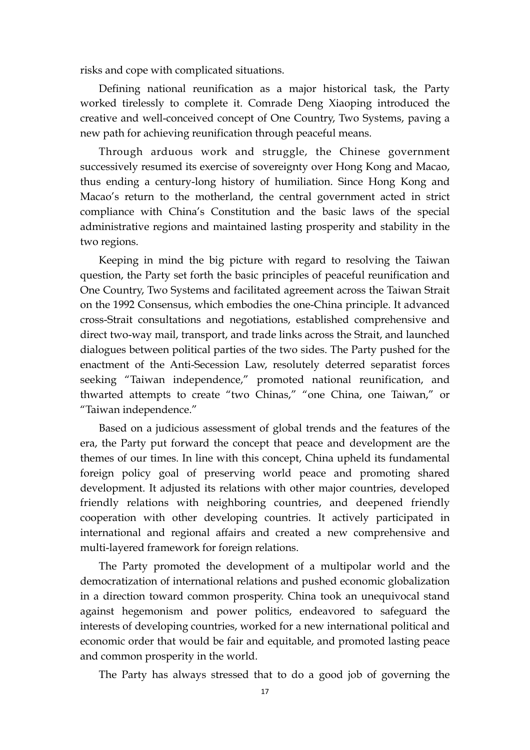risks and cope with complicated situations.

Defining national reunification as a major historical task, the Party worked tirelessly to complete it. Comrade Deng Xiaoping introduced the creative and well-conceived concept of One Country, Two Systems, paving a new path for achieving reunification through peaceful means.

Through arduous work and struggle, the Chinese government successively resumed its exercise of sovereignty over Hong Kong and Macao, thus ending a century-long history of humiliation. Since Hong Kong and Macao's return to the motherland, the central government acted in strict compliance with China's Constitution and the basic laws of the special administrative regions and maintained lasting prosperity and stability in the two regions.

Keeping in mind the big picture with regard to resolving the Taiwan question, the Party set forth the basic principles of peaceful reunification and One Country, Two Systems and facilitated agreement across the Taiwan Strait on the 1992 Consensus, which embodies the one-China principle. It advanced cross-Strait consultations and negotiations, established comprehensive and direct two-way mail, transport, and trade links across the Strait, and launched dialogues between political parties of the two sides. The Party pushed for the enactment of the Anti-Secession Law, resolutely deterred separatist forces seeking "Taiwan independence," promoted national reunification, and thwarted attempts to create "two Chinas," "one China, one Taiwan," or "Taiwan independence."

 Based on a judicious assessment of global trends and the features of the era, the Party put forward the concept that peace and development are the themes of our times. In line with this concept, China upheld its fundamental foreign policy goal of preserving world peace and promoting shared development. It adjusted its relations with other major countries, developed friendly relations with neighboring countries, and deepened friendly cooperation with other developing countries. It actively participated in international and regional affairs and created a new comprehensive and multi-layered framework for foreign relations.

The Party promoted the development of a multipolar world and the democratization of international relations and pushed economic globalization in a direction toward common prosperity. China took an unequivocal stand against hegemonism and power politics, endeavored to safeguard the interests of developing countries, worked for a new international political and economic order that would be fair and equitable, and promoted lasting peace and common prosperity in the world.

The Party has always stressed that to do a good job of governing the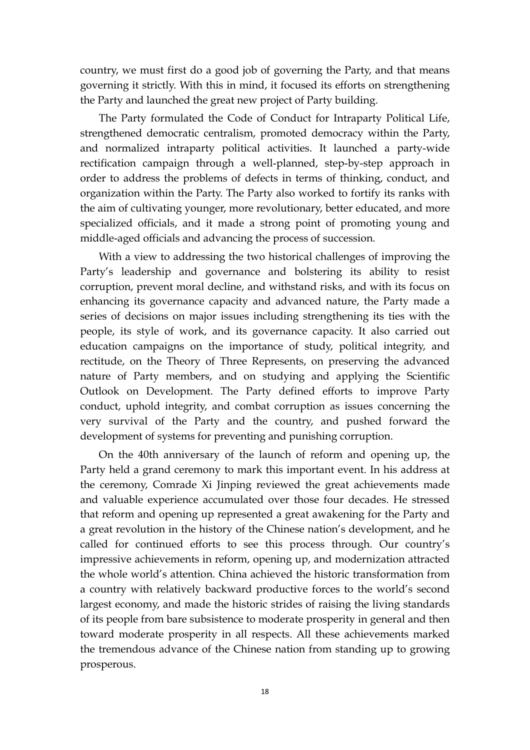country, we must first do a good job of governing the Party, and that means governing it strictly. With this in mind, it focused its efforts on strengthening the Party and launched the great new project of Party building.

The Party formulated the Code of Conduct for Intraparty Political Life, strengthened democratic centralism, promoted democracy within the Party, and normalized intraparty political activities. It launched a party-wide rectification campaign through a well-planned, step-by-step approach in order to address the problems of defects in terms of thinking, conduct, and organization within the Party. The Party also worked to fortify its ranks with the aim of cultivating younger, more revolutionary, better educated, and more specialized officials, and it made a strong point of promoting young and middle-aged officials and advancing the process of succession.

With a view to addressing the two historical challenges of improving the Party's leadership and governance and bolstering its ability to resist corruption, prevent moral decline, and withstand risks, and with its focus on enhancing its governance capacity and advanced nature, the Party made a series of decisions on major issues including strengthening its ties with the people, its style of work, and its governance capacity. It also carried out education campaigns on the importance of study, political integrity, and rectitude, on the Theory of Three Represents, on preserving the advanced nature of Party members, and on studying and applying the Scientific Outlook on Development. The Party defined efforts to improve Party conduct, uphold integrity, and combat corruption as issues concerning the very survival of the Party and the country, and pushed forward the development of systems for preventing and punishing corruption.

On the 40th anniversary of the launch of reform and opening up, the Party held a grand ceremony to mark this important event. In his address at the ceremony, Comrade Xi Jinping reviewed the great achievements made and valuable experience accumulated over those four decades. He stressed that reform and opening up represented a great awakening for the Party and a great revolution in the history of the Chinese nation's development, and he called for continued efforts to see this process through. Our country's impressive achievements in reform, opening up, and modernization attracted the whole world's attention. China achieved the historic transformation from a country with relatively backward productive forces to the world's second largest economy, and made the historic strides of raising the living standards of its people from bare subsistence to moderate prosperity in general and then toward moderate prosperity in all respects. All these achievements marked the tremendous advance of the Chinese nation from standing up to growing prosperous.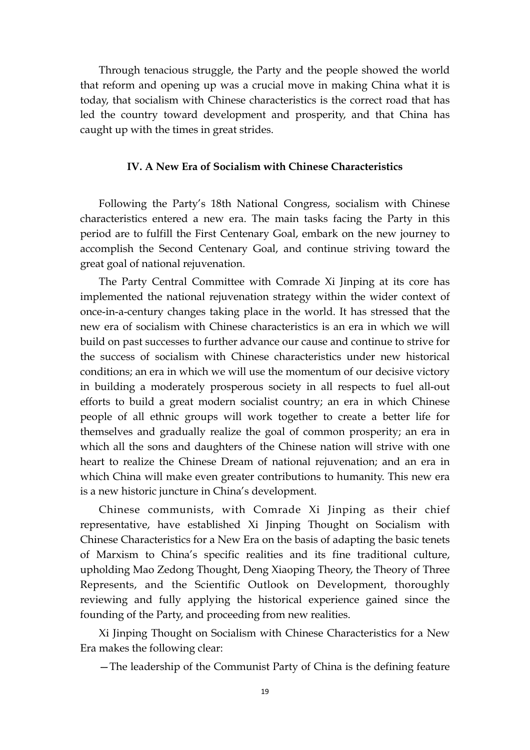Through tenacious struggle, the Party and the people showed the world that reform and opening up was a crucial move in making China what it is today, that socialism with Chinese characteristics is the correct road that has led the country toward development and prosperity, and that China has caught up with the times in great strides.

### **IV. A New Era of Socialism with Chinese Characteristics**

Following the Party's 18th National Congress, socialism with Chinese characteristics entered a new era. The main tasks facing the Party in this period are to fulfill the First Centenary Goal, embark on the new journey to accomplish the Second Centenary Goal, and continue striving toward the great goal of national rejuvenation.

The Party Central Committee with Comrade Xi Jinping at its core has implemented the national rejuvenation strategy within the wider context of once-in-a-century changes taking place in the world. It has stressed that the new era of socialism with Chinese characteristics is an era in which we will build on past successes to further advance our cause and continue to strive for the success of socialism with Chinese characteristics under new historical conditions; an era in which we will use the momentum of our decisive victory in building a moderately prosperous society in all respects to fuel all-out efforts to build a great modern socialist country; an era in which Chinese people of all ethnic groups will work together to create a better life for themselves and gradually realize the goal of common prosperity; an era in which all the sons and daughters of the Chinese nation will strive with one heart to realize the Chinese Dream of national rejuvenation; and an era in which China will make even greater contributions to humanity. This new era is a new historic juncture in China's development.

Chinese communists, with Comrade Xi Jinping as their chief representative, have established Xi Jinping Thought on Socialism with Chinese Characteristics for a New Era on the basis of adapting the basic tenets of Marxism to China's specific realities and its fine traditional culture, upholding Mao Zedong Thought, Deng Xiaoping Theory, the Theory of Three Represents, and the Scientific Outlook on Development, thoroughly reviewing and fully applying the historical experience gained since the founding of the Party, and proceeding from new realities.

Xi Jinping Thought on Socialism with Chinese Characteristics for a New Era makes the following clear:

—The leadership of the Communist Party of China is the defining feature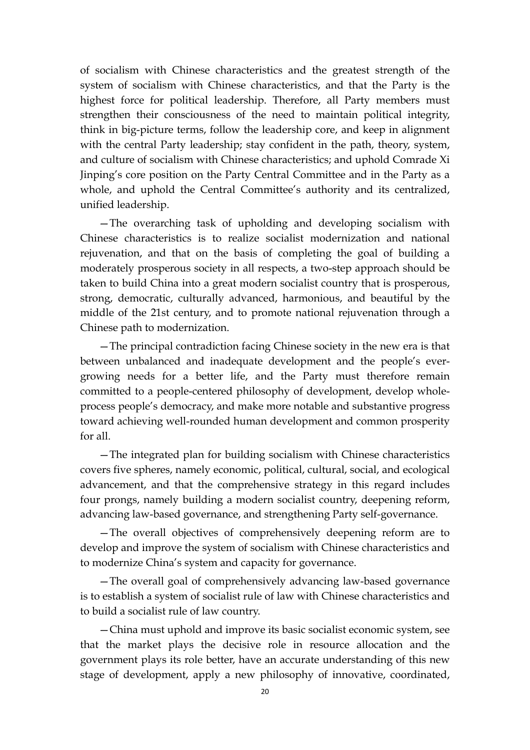of socialism with Chinese characteristics and the greatest strength of the system of socialism with Chinese characteristics, and that the Party is the highest force for political leadership. Therefore, all Party members must strengthen their consciousness of the need to maintain political integrity, think in big-picture terms, follow the leadership core, and keep in alignment with the central Party leadership; stay confident in the path, theory, system, and culture of socialism with Chinese characteristics; and uphold Comrade Xi Jinping's core position on the Party Central Committee and in the Party as a whole, and uphold the Central Committee's authority and its centralized, unified leadership.

—The overarching task of upholding and developing socialism with Chinese characteristics is to realize socialist modernization and national rejuvenation, and that on the basis of completing the goal of building a moderately prosperous society in all respects, a two-step approach should be taken to build China into a great modern socialist country that is prosperous, strong, democratic, culturally advanced, harmonious, and beautiful by the middle of the 21st century, and to promote national rejuvenation through a Chinese path to modernization.

—The principal contradiction facing Chinese society in the new era is that between unbalanced and inadequate development and the people's evergrowing needs for a better life, and the Party must therefore remain committed to a people-centered philosophy of development, develop wholeprocess people's democracy, and make more notable and substantive progress toward achieving well-rounded human development and common prosperity for all.

—The integrated plan for building socialism with Chinese characteristics covers five spheres, namely economic, political, cultural, social, and ecological advancement, and that the comprehensive strategy in this regard includes four prongs, namely building a modern socialist country, deepening reform, advancing law-based governance, and strengthening Party self-governance.

—The overall objectives of comprehensively deepening reform are to develop and improve the system of socialism with Chinese characteristics and to modernize China's system and capacity for governance.

—The overall goal of comprehensively advancing law-based governance is to establish a system of socialist rule of law with Chinese characteristics and to build a socialist rule of law country.

—China must uphold and improve its basic socialist economic system, see that the market plays the decisive role in resource allocation and the government plays its role better, have an accurate understanding of this new stage of development, apply a new philosophy of innovative, coordinated,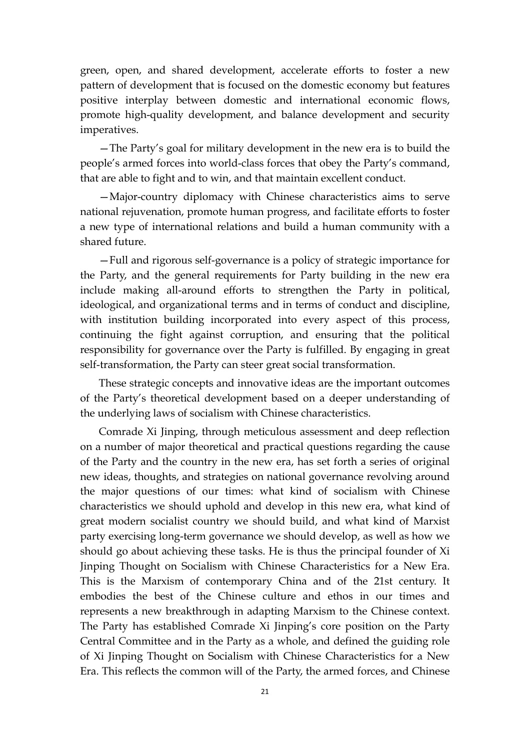green, open, and shared development, accelerate efforts to foster a new pattern of development that is focused on the domestic economy but features positive interplay between domestic and international economic flows, promote high-quality development, and balance development and security imperatives.

—The Party's goal for military development in the new era is to build the people's armed forces into world-class forces that obey the Party's command, that are able to fight and to win, and that maintain excellent conduct.

—Major-country diplomacy with Chinese characteristics aims to serve national rejuvenation, promote human progress, and facilitate efforts to foster a new type of international relations and build a human community with a shared future.

—Full and rigorous self-governance is a policy of strategic importance for the Party, and the general requirements for Party building in the new era include making all-around efforts to strengthen the Party in political, ideological, and organizational terms and in terms of conduct and discipline, with institution building incorporated into every aspect of this process, continuing the fight against corruption, and ensuring that the political responsibility for governance over the Party is fulfilled. By engaging in great self-transformation, the Party can steer great social transformation.

These strategic concepts and innovative ideas are the important outcomes of the Party's theoretical development based on a deeper understanding of the underlying laws of socialism with Chinese characteristics.

Comrade Xi Jinping, through meticulous assessment and deep reflection on a number of major theoretical and practical questions regarding the cause of the Party and the country in the new era, has set forth a series of original new ideas, thoughts, and strategies on national governance revolving around the major questions of our times: what kind of socialism with Chinese characteristics we should uphold and develop in this new era, what kind of great modern socialist country we should build, and what kind of Marxist party exercising long-term governance we should develop, as well as how we should go about achieving these tasks. He is thus the principal founder of Xi Jinping Thought on Socialism with Chinese Characteristics for a New Era. This is the Marxism of contemporary China and of the 21st century. It embodies the best of the Chinese culture and ethos in our times and represents a new breakthrough in adapting Marxism to the Chinese context. The Party has established Comrade Xi Jinping's core position on the Party Central Committee and in the Party as a whole, and defined the guiding role of Xi Jinping Thought on Socialism with Chinese Characteristics for a New Era. This reflects the common will of the Party, the armed forces, and Chinese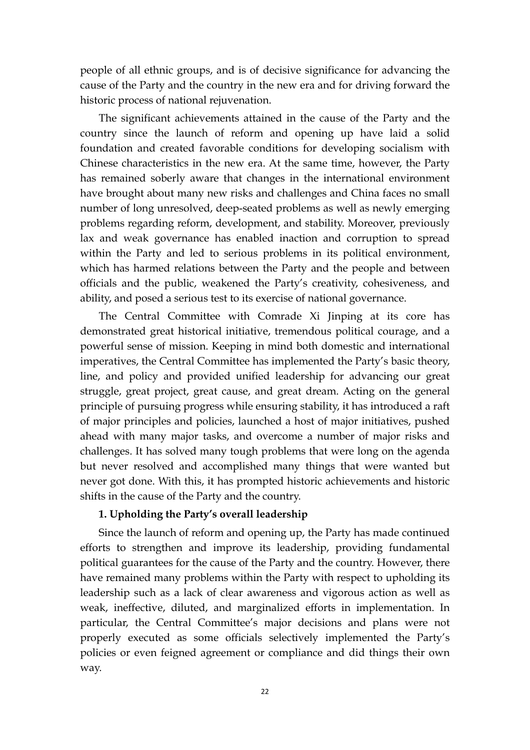people of all ethnic groups, and is of decisive significance for advancing the cause of the Party and the country in the new era and for driving forward the historic process of national rejuvenation.

The significant achievements attained in the cause of the Party and the country since the launch of reform and opening up have laid a solid foundation and created favorable conditions for developing socialism with Chinese characteristics in the new era. At the same time, however, the Party has remained soberly aware that changes in the international environment have brought about many new risks and challenges and China faces no small number of long unresolved, deep-seated problems as well as newly emerging problems regarding reform, development, and stability. Moreover, previously lax and weak governance has enabled inaction and corruption to spread within the Party and led to serious problems in its political environment, which has harmed relations between the Party and the people and between officials and the public, weakened the Party's creativity, cohesiveness, and ability, and posed a serious test to its exercise of national governance.

The Central Committee with Comrade Xi Jinping at its core has demonstrated great historical initiative, tremendous political courage, and a powerful sense of mission. Keeping in mind both domestic and international imperatives, the Central Committee has implemented the Party's basic theory, line, and policy and provided unified leadership for advancing our great struggle, great project, great cause, and great dream. Acting on the general principle of pursuing progress while ensuring stability, it has introduced a raft of major principles and policies, launched a host of major initiatives, pushed ahead with many major tasks, and overcome a number of major risks and challenges. It has solved many tough problems that were long on the agenda but never resolved and accomplished many things that were wanted but never got done. With this, it has prompted historic achievements and historic shifts in the cause of the Party and the country.

### **1. Upholding the Party's overall leadership**

Since the launch of reform and opening up, the Party has made continued efforts to strengthen and improve its leadership, providing fundamental political guarantees for the cause of the Party and the country. However, there have remained many problems within the Party with respect to upholding its leadership such as a lack of clear awareness and vigorous action as well as weak, ineffective, diluted, and marginalized efforts in implementation. In particular, the Central Committee's major decisions and plans were not properly executed as some officials selectively implemented the Party's policies or even feigned agreement or compliance and did things their own way.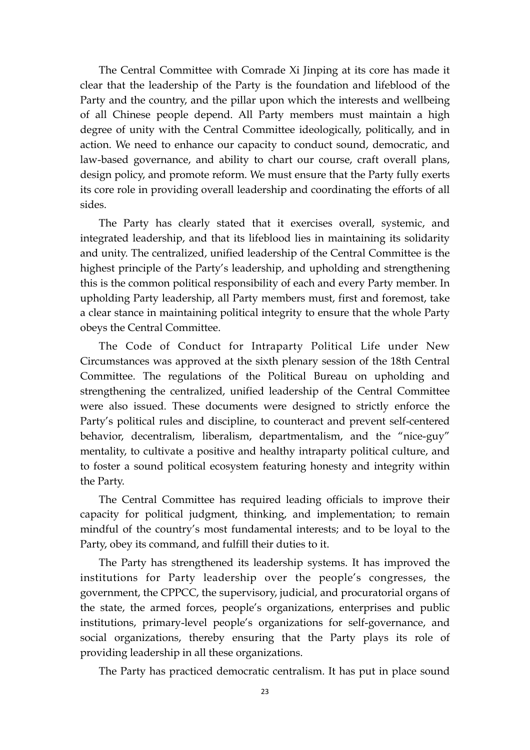The Central Committee with Comrade Xi Jinping at its core has made it clear that the leadership of the Party is the foundation and lifeblood of the Party and the country, and the pillar upon which the interests and wellbeing of all Chinese people depend. All Party members must maintain a high degree of unity with the Central Committee ideologically, politically, and in action. We need to enhance our capacity to conduct sound, democratic, and law-based governance, and ability to chart our course, craft overall plans, design policy, and promote reform. We must ensure that the Party fully exerts its core role in providing overall leadership and coordinating the efforts of all sides.

The Party has clearly stated that it exercises overall, systemic, and integrated leadership, and that its lifeblood lies in maintaining its solidarity and unity. The centralized, unified leadership of the Central Committee is the highest principle of the Party's leadership, and upholding and strengthening this is the common political responsibility of each and every Party member. In upholding Party leadership, all Party members must, first and foremost, take a clear stance in maintaining political integrity to ensure that the whole Party obeys the Central Committee.

The Code of Conduct for Intraparty Political Life under New Circumstances was approved at the sixth plenary session of the 18th Central Committee. The regulations of the Political Bureau on upholding and strengthening the centralized, unified leadership of the Central Committee were also issued. These documents were designed to strictly enforce the Party's political rules and discipline, to counteract and prevent self-centered behavior, decentralism, liberalism, departmentalism, and the "nice-guy" mentality, to cultivate a positive and healthy intraparty political culture, and to foster a sound political ecosystem featuring honesty and integrity within the Party.

The Central Committee has required leading officials to improve their capacity for political judgment, thinking, and implementation; to remain mindful of the country's most fundamental interests; and to be loyal to the Party, obey its command, and fulfill their duties to it.

The Party has strengthened its leadership systems. It has improved the institutions for Party leadership over the people's congresses, the government, the CPPCC, the supervisory, judicial, and procuratorial organs of the state, the armed forces, people's organizations, enterprises and public institutions, primary-level people's organizations for self-governance, and social organizations, thereby ensuring that the Party plays its role of providing leadership in all these organizations.

The Party has practiced democratic centralism. It has put in place sound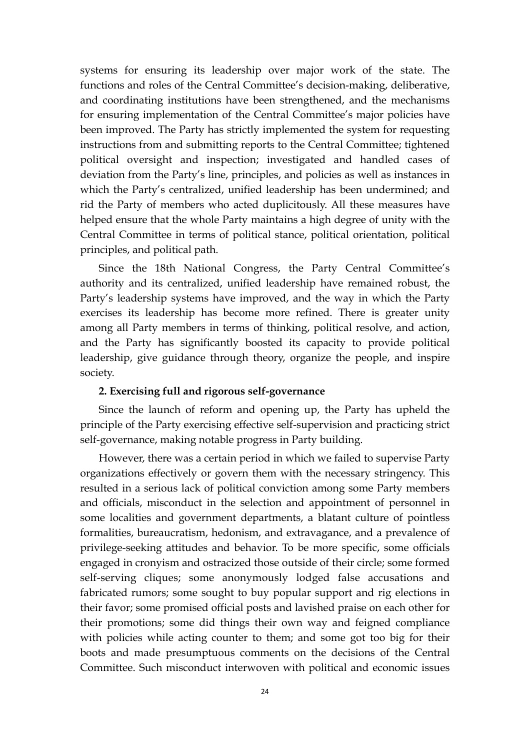systems for ensuring its leadership over major work of the state. The functions and roles of the Central Committee's decision-making, deliberative, and coordinating institutions have been strengthened, and the mechanisms for ensuring implementation of the Central Committee's major policies have been improved. The Party has strictly implemented the system for requesting instructions from and submitting reports to the Central Committee; tightened political oversight and inspection; investigated and handled cases of deviation from the Party's line, principles, and policies as well as instances in which the Party's centralized, unified leadership has been undermined; and rid the Party of members who acted duplicitously. All these measures have helped ensure that the whole Party maintains a high degree of unity with the Central Committee in terms of political stance, political orientation, political principles, and political path.

Since the 18th National Congress, the Party Central Committee's authority and its centralized, unified leadership have remained robust, the Party's leadership systems have improved, and the way in which the Party exercises its leadership has become more refined. There is greater unity among all Party members in terms of thinking, political resolve, and action, and the Party has significantly boosted its capacity to provide political leadership, give guidance through theory, organize the people, and inspire society.

### **2. Exercising full and rigorous self-governance**

Since the launch of reform and opening up, the Party has upheld the principle of the Party exercising effective self-supervision and practicing strict self-governance, making notable progress in Party building.

However, there was a certain period in which we failed to supervise Party organizations effectively or govern them with the necessary stringency. This resulted in a serious lack of political conviction among some Party members and officials, misconduct in the selection and appointment of personnel in some localities and government departments, a blatant culture of pointless formalities, bureaucratism, hedonism, and extravagance, and a prevalence of privilege-seeking attitudes and behavior. To be more specific, some officials engaged in cronyism and ostracized those outside of their circle; some formed self-serving cliques; some anonymously lodged false accusations and fabricated rumors; some sought to buy popular support and rig elections in their favor; some promised official posts and lavished praise on each other for their promotions; some did things their own way and feigned compliance with policies while acting counter to them; and some got too big for their boots and made presumptuous comments on the decisions of the Central Committee. Such misconduct interwoven with political and economic issues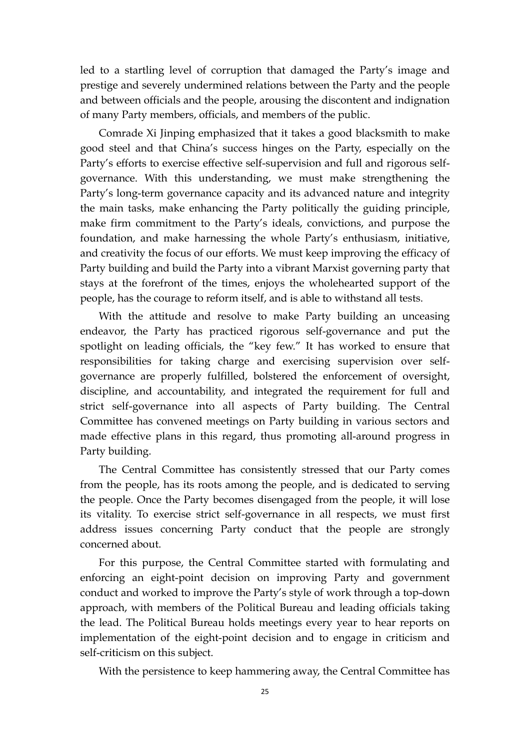led to a startling level of corruption that damaged the Party's image and prestige and severely undermined relations between the Party and the people and between officials and the people, arousing the discontent and indignation of many Party members, officials, and members of the public.

Comrade Xi Jinping emphasized that it takes a good blacksmith to make good steel and that China's success hinges on the Party, especially on the Party's efforts to exercise effective self-supervision and full and rigorous selfgovernance. With this understanding, we must make strengthening the Party's long-term governance capacity and its advanced nature and integrity the main tasks, make enhancing the Party politically the guiding principle, make firm commitment to the Party's ideals, convictions, and purpose the foundation, and make harnessing the whole Party's enthusiasm, initiative, and creativity the focus of our efforts. We must keep improving the efficacy of Party building and build the Party into a vibrant Marxist governing party that stays at the forefront of the times, enjoys the wholehearted support of the people, has the courage to reform itself, and is able to withstand all tests.

With the attitude and resolve to make Party building an unceasing endeavor, the Party has practiced rigorous self-governance and put the spotlight on leading officials, the "key few." It has worked to ensure that responsibilities for taking charge and exercising supervision over selfgovernance are properly fulfilled, bolstered the enforcement of oversight, discipline, and accountability, and integrated the requirement for full and strict self-governance into all aspects of Party building. The Central Committee has convened meetings on Party building in various sectors and made effective plans in this regard, thus promoting all-around progress in Party building.

The Central Committee has consistently stressed that our Party comes from the people, has its roots among the people, and is dedicated to serving the people. Once the Party becomes disengaged from the people, it will lose its vitality. To exercise strict self-governance in all respects, we must first address issues concerning Party conduct that the people are strongly concerned about.

For this purpose, the Central Committee started with formulating and enforcing an eight-point decision on improving Party and government conduct and worked to improve the Party's style of work through a top-down approach, with members of the Political Bureau and leading officials taking the lead. The Political Bureau holds meetings every year to hear reports on implementation of the eight-point decision and to engage in criticism and self-criticism on this subject.

With the persistence to keep hammering away, the Central Committee has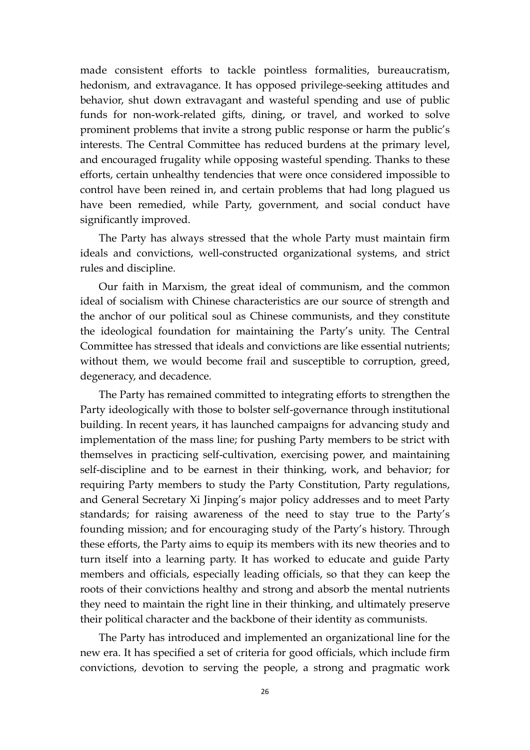made consistent efforts to tackle pointless formalities, bureaucratism, hedonism, and extravagance. It has opposed privilege-seeking attitudes and behavior, shut down extravagant and wasteful spending and use of public funds for non-work-related gifts, dining, or travel, and worked to solve prominent problems that invite a strong public response or harm the public's interests. The Central Committee has reduced burdens at the primary level, and encouraged frugality while opposing wasteful spending. Thanks to these efforts, certain unhealthy tendencies that were once considered impossible to control have been reined in, and certain problems that had long plagued us have been remedied, while Party, government, and social conduct have significantly improved.

The Party has always stressed that the whole Party must maintain firm ideals and convictions, well-constructed organizational systems, and strict rules and discipline.

Our faith in Marxism, the great ideal of communism, and the common ideal of socialism with Chinese characteristics are our source of strength and the anchor of our political soul as Chinese communists, and they constitute the ideological foundation for maintaining the Party's unity. The Central Committee has stressed that ideals and convictions are like essential nutrients; without them, we would become frail and susceptible to corruption, greed, degeneracy, and decadence.

The Party has remained committed to integrating efforts to strengthen the Party ideologically with those to bolster self-governance through institutional building. In recent years, it has launched campaigns for advancing study and implementation of the mass line; for pushing Party members to be strict with themselves in practicing self-cultivation, exercising power, and maintaining self-discipline and to be earnest in their thinking, work, and behavior; for requiring Party members to study the Party Constitution, Party regulations, and General Secretary Xi Jinping's major policy addresses and to meet Party standards; for raising awareness of the need to stay true to the Party's founding mission; and for encouraging study of the Party's history. Through these efforts, the Party aims to equip its members with its new theories and to turn itself into a learning party. It has worked to educate and guide Party members and officials, especially leading officials, so that they can keep the roots of their convictions healthy and strong and absorb the mental nutrients they need to maintain the right line in their thinking, and ultimately preserve their political character and the backbone of their identity as communists.

The Party has introduced and implemented an organizational line for the new era. It has specified a set of criteria for good officials, which include firm convictions, devotion to serving the people, a strong and pragmatic work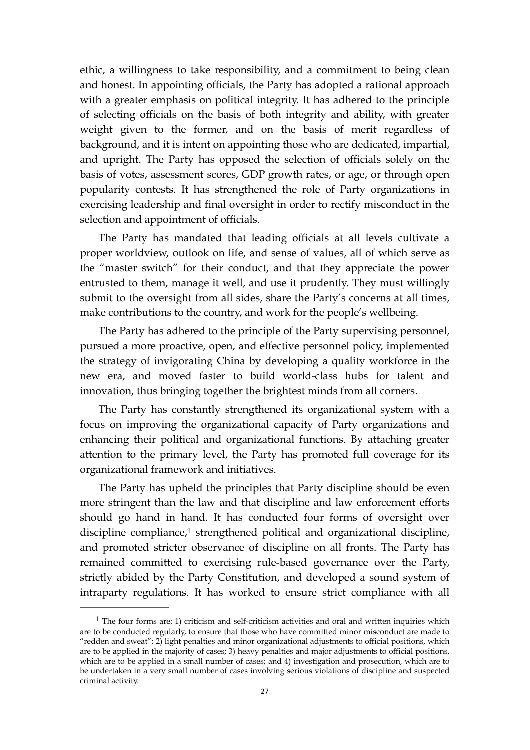ethic, a willingness to take responsibility, and a commitment to being clean and honest. In appointing officials, the Party has adopted a rational approach with a greater emphasis on political integrity. It has adhered to the principle of selecting officials on the basis of both integrity and ability, with greater weight given to the former, and on the basis of merit regardless of background, and it is intent on appointing those who are dedicated, impartial, and upright. The Party has opposed the selection of officials solely on the basis of votes, assessment scores, GDP growth rates, or age, or through open popularity contests. It has strengthened the role of Party organizations in exercising leadership and final oversight in order to rectify misconduct in the selection and appointment of officials.

The Party has mandated that leading officials at all levels cultivate a proper worldview, outlook on life, and sense of values, all of which serve as the "master switch" for their conduct, and that they appreciate the power entrusted to them, manage it well, and use it prudently. They must willingly submit to the oversight from all sides, share the Party's concerns at all times, make contributions to the country, and work for the people's wellbeing.

The Party has adhered to the principle of the Party supervising personnel, pursued a more proactive, open, and effective personnel policy, implemented the strategy of invigorating China by developing a quality workforce in the new era, and moved faster to build world-class hubs for talent and innovation, thus bringing together the brightest minds from all corners.

The Party has constantly strengthened its organizational system with a focus on improving the organizational capacity of Party organizations and enhancing their political and organizational functions. By attaching greater attention to the primary level, the Party has promoted full coverage for its organizational framework and initiatives.

<span id="page-26-1"></span>The Party has upheld the principles that Party discipline should be even more stringent than the law and that discipline and law enforcement efforts should go hand in hand. It has conducted four forms of oversight over disciplinecompliance,<sup>[1](#page-26-0)</sup> strengthened political and organizational discipline, and promoted stricter observance of discipline on all fronts. The Party has remained committed to exercising rule-based governance over the Party, strictly abided by the Party Constitution, and developed a sound system of intraparty regulations. It has worked to ensure strict compliance with all

<span id="page-26-0"></span> $<sup>1</sup>$  $<sup>1</sup>$  $<sup>1</sup>$  The four forms are: 1) criticism and self-criticism activities and oral and written inquiries which</sup> are to be conducted regularly, to ensure that those who have committed minor misconduct are made to "redden and sweat"; 2) light penalties and minor organizational adjustments to official positions, which are to be applied in the majority of cases; 3) heavy penalties and major adjustments to official positions, which are to be applied in a small number of cases; and 4) investigation and prosecution, which are to be undertaken in a very small number of cases involving serious violations of discipline and suspected criminal activity.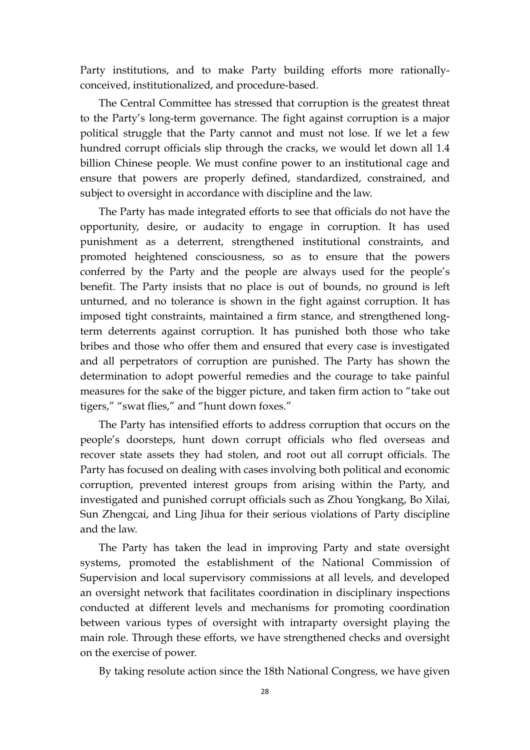Party institutions, and to make Party building efforts more rationallyconceived, institutionalized, and procedure-based.

The Central Committee has stressed that corruption is the greatest threat to the Party's long-term governance. The fight against corruption is a major political struggle that the Party cannot and must not lose. If we let a few hundred corrupt officials slip through the cracks, we would let down all 1.4 billion Chinese people. We must confine power to an institutional cage and ensure that powers are properly defined, standardized, constrained, and subject to oversight in accordance with discipline and the law.

The Party has made integrated efforts to see that officials do not have the opportunity, desire, or audacity to engage in corruption. It has used punishment as a deterrent, strengthened institutional constraints, and promoted heightened consciousness, so as to ensure that the powers conferred by the Party and the people are always used for the people's benefit. The Party insists that no place is out of bounds, no ground is left unturned, and no tolerance is shown in the fight against corruption. It has imposed tight constraints, maintained a firm stance, and strengthened longterm deterrents against corruption. It has punished both those who take bribes and those who offer them and ensured that every case is investigated and all perpetrators of corruption are punished. The Party has shown the determination to adopt powerful remedies and the courage to take painful measures for the sake of the bigger picture, and taken firm action to "take out tigers," "swat flies," and "hunt down foxes."

The Party has intensified efforts to address corruption that occurs on the people's doorsteps, hunt down corrupt officials who fled overseas and recover state assets they had stolen, and root out all corrupt officials. The Party has focused on dealing with cases involving both political and economic corruption, prevented interest groups from arising within the Party, and investigated and punished corrupt officials such as Zhou Yongkang, Bo Xilai, Sun Zhengcai, and Ling Jihua for their serious violations of Party discipline and the law.

The Party has taken the lead in improving Party and state oversight systems, promoted the establishment of the National Commission of Supervision and local supervisory commissions at all levels, and developed an oversight network that facilitates coordination in disciplinary inspections conducted at different levels and mechanisms for promoting coordination between various types of oversight with intraparty oversight playing the main role. Through these efforts, we have strengthened checks and oversight on the exercise of power.

By taking resolute action since the 18th National Congress, we have given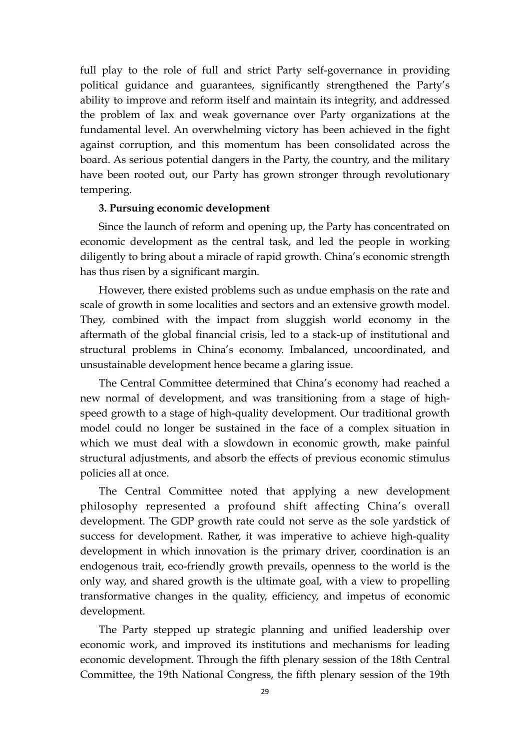full play to the role of full and strict Party self-governance in providing political guidance and guarantees, significantly strengthened the Party's ability to improve and reform itself and maintain its integrity, and addressed the problem of lax and weak governance over Party organizations at the fundamental level. An overwhelming victory has been achieved in the fight against corruption, and this momentum has been consolidated across the board. As serious potential dangers in the Party, the country, and the military have been rooted out, our Party has grown stronger through revolutionary tempering.

#### **3. Pursuing economic development**

Since the launch of reform and opening up, the Party has concentrated on economic development as the central task, and led the people in working diligently to bring about a miracle of rapid growth. China's economic strength has thus risen by a significant margin.

However, there existed problems such as undue emphasis on the rate and scale of growth in some localities and sectors and an extensive growth model. They, combined with the impact from sluggish world economy in the aftermath of the global financial crisis, led to a stack-up of institutional and structural problems in China's economy. Imbalanced, uncoordinated, and unsustainable development hence became a glaring issue.

The Central Committee determined that China's economy had reached a new normal of development, and was transitioning from a stage of highspeed growth to a stage of high-quality development. Our traditional growth model could no longer be sustained in the face of a complex situation in which we must deal with a slowdown in economic growth, make painful structural adjustments, and absorb the effects of previous economic stimulus policies all at once.

The Central Committee noted that applying a new development philosophy represented a profound shift affecting China's overall development. The GDP growth rate could not serve as the sole yardstick of success for development. Rather, it was imperative to achieve high-quality development in which innovation is the primary driver, coordination is an endogenous trait, eco-friendly growth prevails, openness to the world is the only way, and shared growth is the ultimate goal, with a view to propelling transformative changes in the quality, efficiency, and impetus of economic development.

The Party stepped up strategic planning and unified leadership over economic work, and improved its institutions and mechanisms for leading economic development. Through the fifth plenary session of the 18th Central Committee, the 19th National Congress, the fifth plenary session of the 19th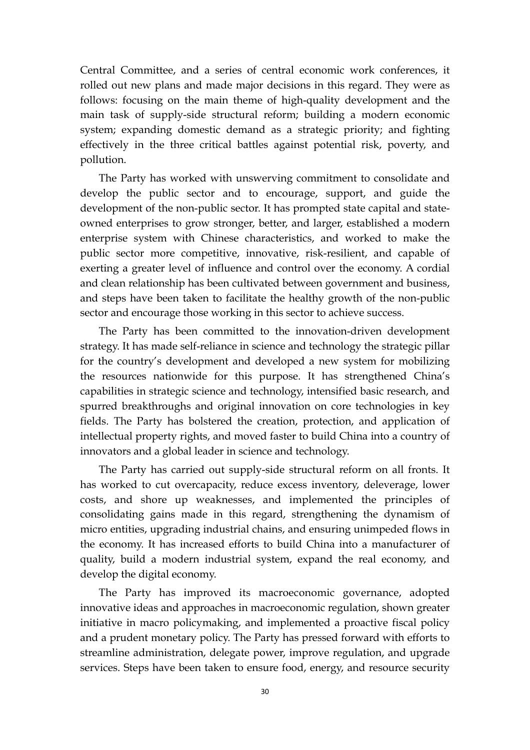Central Committee, and a series of central economic work conferences, it rolled out new plans and made major decisions in this regard. They were as follows: focusing on the main theme of high-quality development and the main task of supply-side structural reform; building a modern economic system; expanding domestic demand as a strategic priority; and fighting effectively in the three critical battles against potential risk, poverty, and pollution.

The Party has worked with unswerving commitment to consolidate and develop the public sector and to encourage, support, and guide the development of the non-public sector. It has prompted state capital and stateowned enterprises to grow stronger, better, and larger, established a modern enterprise system with Chinese characteristics, and worked to make the public sector more competitive, innovative, risk-resilient, and capable of exerting a greater level of influence and control over the economy. A cordial and clean relationship has been cultivated between government and business, and steps have been taken to facilitate the healthy growth of the non-public sector and encourage those working in this sector to achieve success.

The Party has been committed to the innovation-driven development strategy. It has made self-reliance in science and technology the strategic pillar for the country's development and developed a new system for mobilizing the resources nationwide for this purpose. It has strengthened China's capabilities in strategic science and technology, intensified basic research, and spurred breakthroughs and original innovation on core technologies in key fields. The Party has bolstered the creation, protection, and application of intellectual property rights, and moved faster to build China into a country of innovators and a global leader in science and technology.

The Party has carried out supply-side structural reform on all fronts. It has worked to cut overcapacity, reduce excess inventory, deleverage, lower costs, and shore up weaknesses, and implemented the principles of consolidating gains made in this regard, strengthening the dynamism of micro entities, upgrading industrial chains, and ensuring unimpeded flows in the economy. It has increased efforts to build China into a manufacturer of quality, build a modern industrial system, expand the real economy, and develop the digital economy.

The Party has improved its macroeconomic governance, adopted innovative ideas and approaches in macroeconomic regulation, shown greater initiative in macro policymaking, and implemented a proactive fiscal policy and a prudent monetary policy. The Party has pressed forward with efforts to streamline administration, delegate power, improve regulation, and upgrade services. Steps have been taken to ensure food, energy, and resource security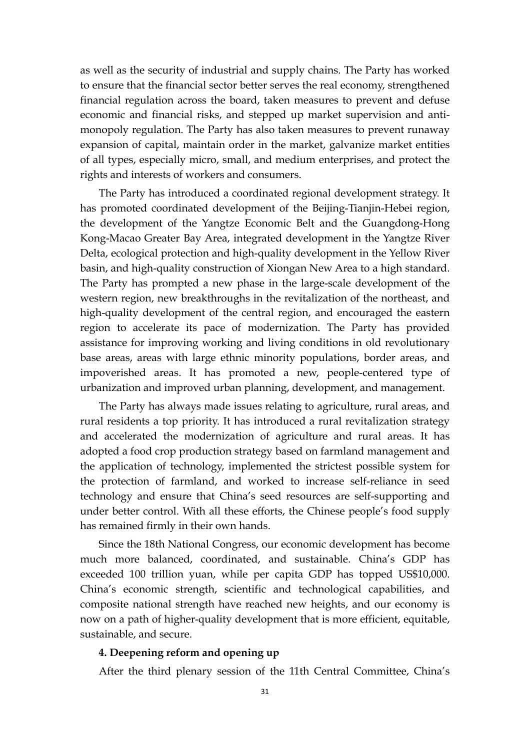as well as the security of industrial and supply chains. The Party has worked to ensure that the financial sector better serves the real economy, strengthened financial regulation across the board, taken measures to prevent and defuse economic and financial risks, and stepped up market supervision and antimonopoly regulation. The Party has also taken measures to prevent runaway expansion of capital, maintain order in the market, galvanize market entities of all types, especially micro, small, and medium enterprises, and protect the rights and interests of workers and consumers.

The Party has introduced a coordinated regional development strategy. It has promoted coordinated development of the Beijing-Tianjin-Hebei region, the development of the Yangtze Economic Belt and the Guangdong-Hong Kong-Macao Greater Bay Area, integrated development in the Yangtze River Delta, ecological protection and high-quality development in the Yellow River basin, and high-quality construction of Xiongan New Area to a high standard. The Party has prompted a new phase in the large-scale development of the western region, new breakthroughs in the revitalization of the northeast, and high-quality development of the central region, and encouraged the eastern region to accelerate its pace of modernization. The Party has provided assistance for improving working and living conditions in old revolutionary base areas, areas with large ethnic minority populations, border areas, and impoverished areas. It has promoted a new, people-centered type of urbanization and improved urban planning, development, and management.

The Party has always made issues relating to agriculture, rural areas, and rural residents a top priority. It has introduced a rural revitalization strategy and accelerated the modernization of agriculture and rural areas. It has adopted a food crop production strategy based on farmland management and the application of technology, implemented the strictest possible system for the protection of farmland, and worked to increase self-reliance in seed technology and ensure that China's seed resources are self-supporting and under better control. With all these efforts, the Chinese people's food supply has remained firmly in their own hands.

Since the 18th National Congress, our economic development has become much more balanced, coordinated, and sustainable. China's GDP has exceeded 100 trillion yuan, while per capita GDP has topped US\$10,000. China's economic strength, scientific and technological capabilities, and composite national strength have reached new heights, and our economy is now on a path of higher-quality development that is more efficient, equitable, sustainable, and secure.

#### **4. Deepening reform and opening up**

After the third plenary session of the 11th Central Committee, China's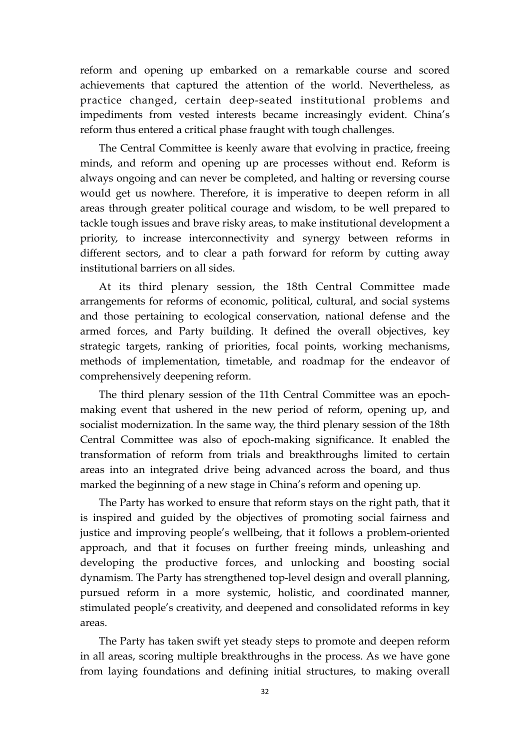reform and opening up embarked on a remarkable course and scored achievements that captured the attention of the world. Nevertheless, as practice changed, certain deep-seated institutional problems and impediments from vested interests became increasingly evident. China's reform thus entered a critical phase fraught with tough challenges.

The Central Committee is keenly aware that evolving in practice, freeing minds, and reform and opening up are processes without end. Reform is always ongoing and can never be completed, and halting or reversing course would get us nowhere. Therefore, it is imperative to deepen reform in all areas through greater political courage and wisdom, to be well prepared to tackle tough issues and brave risky areas, to make institutional development a priority, to increase interconnectivity and synergy between reforms in different sectors, and to clear a path forward for reform by cutting away institutional barriers on all sides.

At its third plenary session, the 18th Central Committee made arrangements for reforms of economic, political, cultural, and social systems and those pertaining to ecological conservation, national defense and the armed forces, and Party building. It defined the overall objectives, key strategic targets, ranking of priorities, focal points, working mechanisms, methods of implementation, timetable, and roadmap for the endeavor of comprehensively deepening reform.

The third plenary session of the 11th Central Committee was an epochmaking event that ushered in the new period of reform, opening up, and socialist modernization. In the same way, the third plenary session of the 18th Central Committee was also of epoch-making significance. It enabled the transformation of reform from trials and breakthroughs limited to certain areas into an integrated drive being advanced across the board, and thus marked the beginning of a new stage in China's reform and opening up.

The Party has worked to ensure that reform stays on the right path, that it is inspired and guided by the objectives of promoting social fairness and justice and improving people's wellbeing, that it follows a problem-oriented approach, and that it focuses on further freeing minds, unleashing and developing the productive forces, and unlocking and boosting social dynamism. The Party has strengthened top-level design and overall planning, pursued reform in a more systemic, holistic, and coordinated manner, stimulated people's creativity, and deepened and consolidated reforms in key areas.

The Party has taken swift yet steady steps to promote and deepen reform in all areas, scoring multiple breakthroughs in the process. As we have gone from laying foundations and defining initial structures, to making overall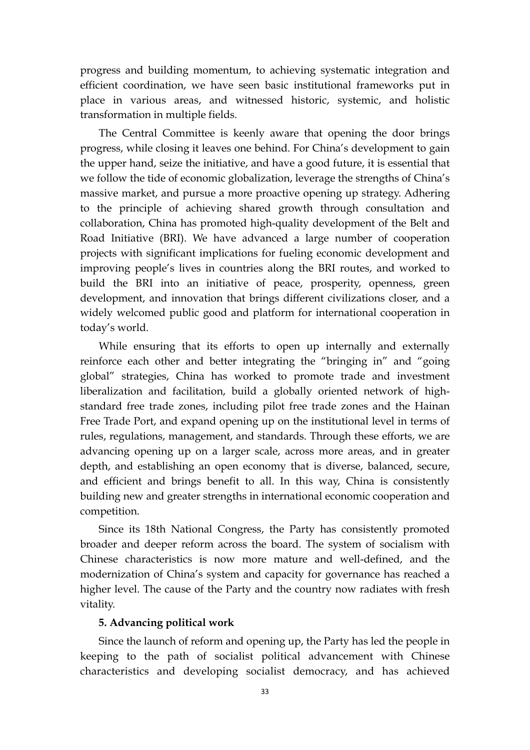progress and building momentum, to achieving systematic integration and efficient coordination, we have seen basic institutional frameworks put in place in various areas, and witnessed historic, systemic, and holistic transformation in multiple fields.

The Central Committee is keenly aware that opening the door brings progress, while closing it leaves one behind. For China's development to gain the upper hand, seize the initiative, and have a good future, it is essential that we follow the tide of economic globalization, leverage the strengths of China's massive market, and pursue a more proactive opening up strategy. Adhering to the principle of achieving shared growth through consultation and collaboration, China has promoted high-quality development of the Belt and Road Initiative (BRI). We have advanced a large number of cooperation projects with significant implications for fueling economic development and improving people's lives in countries along the BRI routes, and worked to build the BRI into an initiative of peace, prosperity, openness, green development, and innovation that brings different civilizations closer, and a widely welcomed public good and platform for international cooperation in today's world.

While ensuring that its efforts to open up internally and externally reinforce each other and better integrating the "bringing in" and "going global" strategies, China has worked to promote trade and investment liberalization and facilitation, build a globally oriented network of highstandard free trade zones, including pilot free trade zones and the Hainan Free Trade Port, and expand opening up on the institutional level in terms of rules, regulations, management, and standards. Through these efforts, we are advancing opening up on a larger scale, across more areas, and in greater depth, and establishing an open economy that is diverse, balanced, secure, and efficient and brings benefit to all. In this way, China is consistently building new and greater strengths in international economic cooperation and competition.

Since its 18th National Congress, the Party has consistently promoted broader and deeper reform across the board. The system of socialism with Chinese characteristics is now more mature and well-defined, and the modernization of China's system and capacity for governance has reached a higher level. The cause of the Party and the country now radiates with fresh vitality.

### **5. Advancing political work**

Since the launch of reform and opening up, the Party has led the people in keeping to the path of socialist political advancement with Chinese characteristics and developing socialist democracy, and has achieved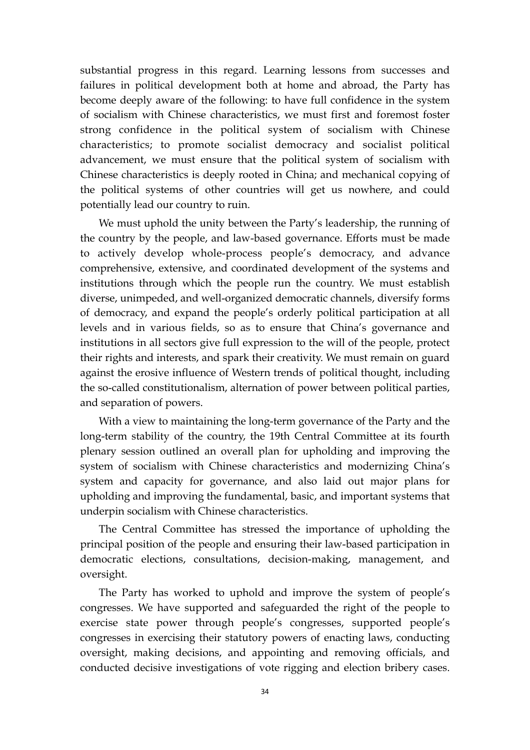substantial progress in this regard. Learning lessons from successes and failures in political development both at home and abroad, the Party has become deeply aware of the following: to have full confidence in the system of socialism with Chinese characteristics, we must first and foremost foster strong confidence in the political system of socialism with Chinese characteristics; to promote socialist democracy and socialist political advancement, we must ensure that the political system of socialism with Chinese characteristics is deeply rooted in China; and mechanical copying of the political systems of other countries will get us nowhere, and could potentially lead our country to ruin.

We must uphold the unity between the Party's leadership, the running of the country by the people, and law-based governance. Efforts must be made to actively develop whole-process people's democracy, and advance comprehensive, extensive, and coordinated development of the systems and institutions through which the people run the country. We must establish diverse, unimpeded, and well-organized democratic channels, diversify forms of democracy, and expand the people's orderly political participation at all levels and in various fields, so as to ensure that China's governance and institutions in all sectors give full expression to the will of the people, protect their rights and interests, and spark their creativity. We must remain on guard against the erosive influence of Western trends of political thought, including the so-called constitutionalism, alternation of power between political parties, and separation of powers.

With a view to maintaining the long-term governance of the Party and the long-term stability of the country, the 19th Central Committee at its fourth plenary session outlined an overall plan for upholding and improving the system of socialism with Chinese characteristics and modernizing China's system and capacity for governance, and also laid out major plans for upholding and improving the fundamental, basic, and important systems that underpin socialism with Chinese characteristics.

The Central Committee has stressed the importance of upholding the principal position of the people and ensuring their law-based participation in democratic elections, consultations, decision-making, management, and oversight.

The Party has worked to uphold and improve the system of people's congresses. We have supported and safeguarded the right of the people to exercise state power through people's congresses, supported people's congresses in exercising their statutory powers of enacting laws, conducting oversight, making decisions, and appointing and removing officials, and conducted decisive investigations of vote rigging and election bribery cases.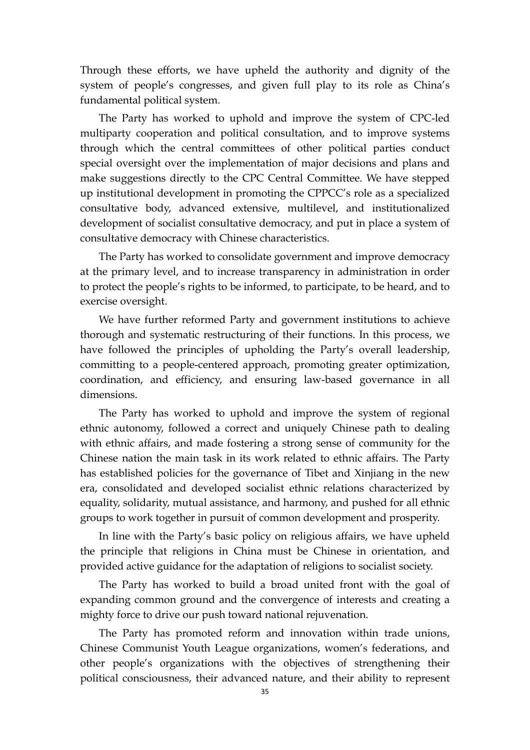Through these efforts, we have upheld the authority and dignity of the system of people's congresses, and given full play to its role as China's fundamental political system.

The Party has worked to uphold and improve the system of CPC-led multiparty cooperation and political consultation, and to improve systems through which the central committees of other political parties conduct special oversight over the implementation of major decisions and plans and make suggestions directly to the CPC Central Committee. We have stepped up institutional development in promoting the CPPCC's role as a specialized consultative body, advanced extensive, multilevel, and institutionalized development of socialist consultative democracy, and put in place a system of consultative democracy with Chinese characteristics.

The Party has worked to consolidate government and improve democracy at the primary level, and to increase transparency in administration in order to protect the people's rights to be informed, to participate, to be heard, and to exercise oversight.

We have further reformed Party and government institutions to achieve thorough and systematic restructuring of their functions. In this process, we have followed the principles of upholding the Party's overall leadership, committing to a people-centered approach, promoting greater optimization, coordination, and efficiency, and ensuring law-based governance in all dimensions.

The Party has worked to uphold and improve the system of regional ethnic autonomy, followed a correct and uniquely Chinese path to dealing with ethnic affairs, and made fostering a strong sense of community for the Chinese nation the main task in its work related to ethnic affairs. The Party has established policies for the governance of Tibet and Xinjiang in the new era, consolidated and developed socialist ethnic relations characterized by equality, solidarity, mutual assistance, and harmony, and pushed for all ethnic groups to work together in pursuit of common development and prosperity.

In line with the Party's basic policy on religious affairs, we have upheld the principle that religions in China must be Chinese in orientation, and provided active guidance for the adaptation of religions to socialist society.

The Party has worked to build a broad united front with the goal of expanding common ground and the convergence of interests and creating a mighty force to drive our push toward national rejuvenation.

The Party has promoted reform and innovation within trade unions, Chinese Communist Youth League organizations, women's federations, and other people's organizations with the objectives of strengthening their political consciousness, their advanced nature, and their ability to represent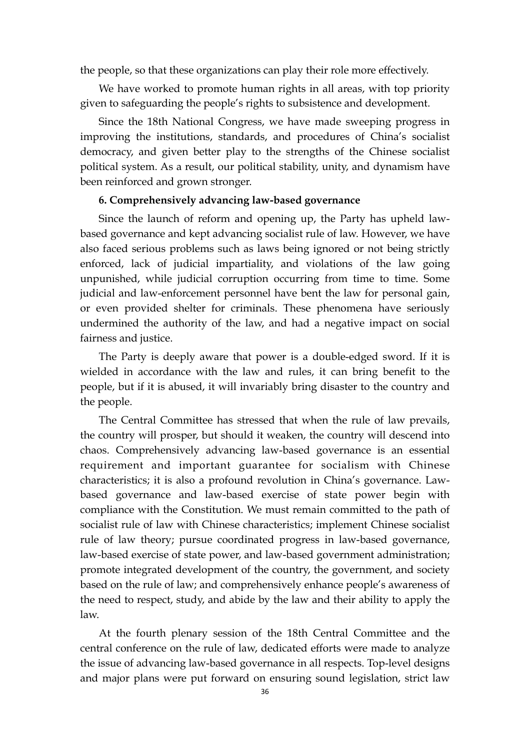the people, so that these organizations can play their role more effectively.

We have worked to promote human rights in all areas, with top priority given to safeguarding the people's rights to subsistence and development.

Since the 18th National Congress, we have made sweeping progress in improving the institutions, standards, and procedures of China's socialist democracy, and given better play to the strengths of the Chinese socialist political system. As a result, our political stability, unity, and dynamism have been reinforced and grown stronger.

### **6. Comprehensively advancing law-based governance**

Since the launch of reform and opening up, the Party has upheld lawbased governance and kept advancing socialist rule of law. However, we have also faced serious problems such as laws being ignored or not being strictly enforced, lack of judicial impartiality, and violations of the law going unpunished, while judicial corruption occurring from time to time. Some judicial and law-enforcement personnel have bent the law for personal gain, or even provided shelter for criminals. These phenomena have seriously undermined the authority of the law, and had a negative impact on social fairness and justice.

The Party is deeply aware that power is a double-edged sword. If it is wielded in accordance with the law and rules, it can bring benefit to the people, but if it is abused, it will invariably bring disaster to the country and the people.

The Central Committee has stressed that when the rule of law prevails, the country will prosper, but should it weaken, the country will descend into chaos. Comprehensively advancing law-based governance is an essential requirement and important guarantee for socialism with Chinese characteristics; it is also a profound revolution in China's governance. Lawbased governance and law-based exercise of state power begin with compliance with the Constitution. We must remain committed to the path of socialist rule of law with Chinese characteristics; implement Chinese socialist rule of law theory; pursue coordinated progress in law-based governance, law-based exercise of state power, and law-based government administration; promote integrated development of the country, the government, and society based on the rule of law; and comprehensively enhance people's awareness of the need to respect, study, and abide by the law and their ability to apply the law.

At the fourth plenary session of the 18th Central Committee and the central conference on the rule of law, dedicated efforts were made to analyze the issue of advancing law-based governance in all respects. Top-level designs and major plans were put forward on ensuring sound legislation, strict law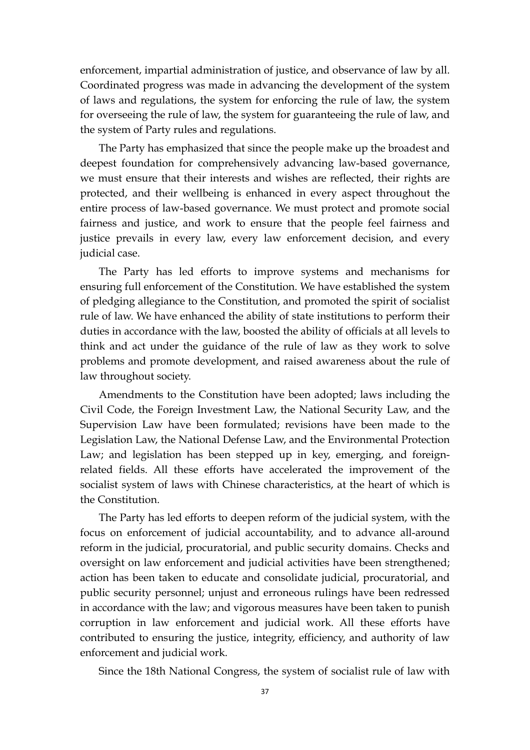enforcement, impartial administration of justice, and observance of law by all. Coordinated progress was made in advancing the development of the system of laws and regulations, the system for enforcing the rule of law, the system for overseeing the rule of law, the system for guaranteeing the rule of law, and the system of Party rules and regulations.

The Party has emphasized that since the people make up the broadest and deepest foundation for comprehensively advancing law-based governance, we must ensure that their interests and wishes are reflected, their rights are protected, and their wellbeing is enhanced in every aspect throughout the entire process of law-based governance. We must protect and promote social fairness and justice, and work to ensure that the people feel fairness and justice prevails in every law, every law enforcement decision, and every judicial case.

The Party has led efforts to improve systems and mechanisms for ensuring full enforcement of the Constitution. We have established the system of pledging allegiance to the Constitution, and promoted the spirit of socialist rule of law. We have enhanced the ability of state institutions to perform their duties in accordance with the law, boosted the ability of officials at all levels to think and act under the guidance of the rule of law as they work to solve problems and promote development, and raised awareness about the rule of law throughout society.

Amendments to the Constitution have been adopted; laws including the Civil Code, the Foreign Investment Law, the National Security Law, and the Supervision Law have been formulated; revisions have been made to the Legislation Law, the National Defense Law, and the Environmental Protection Law; and legislation has been stepped up in key, emerging, and foreignrelated fields. All these efforts have accelerated the improvement of the socialist system of laws with Chinese characteristics, at the heart of which is the Constitution.

The Party has led efforts to deepen reform of the judicial system, with the focus on enforcement of judicial accountability, and to advance all-around reform in the judicial, procuratorial, and public security domains. Checks and oversight on law enforcement and judicial activities have been strengthened; action has been taken to educate and consolidate judicial, procuratorial, and public security personnel; unjust and erroneous rulings have been redressed in accordance with the law; and vigorous measures have been taken to punish corruption in law enforcement and judicial work. All these efforts have contributed to ensuring the justice, integrity, efficiency, and authority of law enforcement and judicial work.

Since the 18th National Congress, the system of socialist rule of law with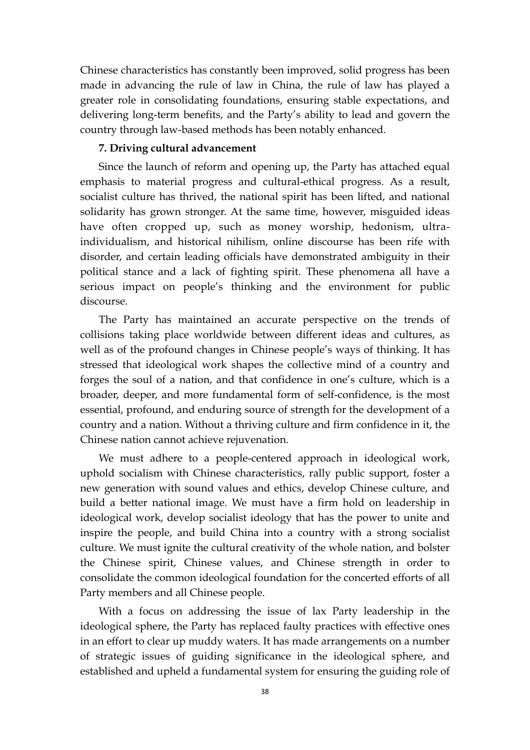Chinese characteristics has constantly been improved, solid progress has been made in advancing the rule of law in China, the rule of law has played a greater role in consolidating foundations, ensuring stable expectations, and delivering long-term benefits, and the Party's ability to lead and govern the country through law-based methods has been notably enhanced.

### **7. Driving cultural advancement**

Since the launch of reform and opening up, the Party has attached equal emphasis to material progress and cultural-ethical progress. As a result, socialist culture has thrived, the national spirit has been lifted, and national solidarity has grown stronger. At the same time, however, misguided ideas have often cropped up, such as money worship, hedonism, ultraindividualism, and historical nihilism, online discourse has been rife with disorder, and certain leading officials have demonstrated ambiguity in their political stance and a lack of fighting spirit. These phenomena all have a serious impact on people's thinking and the environment for public discourse.

The Party has maintained an accurate perspective on the trends of collisions taking place worldwide between different ideas and cultures, as well as of the profound changes in Chinese people's ways of thinking. It has stressed that ideological work shapes the collective mind of a country and forges the soul of a nation, and that confidence in one's culture, which is a broader, deeper, and more fundamental form of self-confidence, is the most essential, profound, and enduring source of strength for the development of a country and a nation. Without a thriving culture and firm confidence in it, the Chinese nation cannot achieve rejuvenation.

We must adhere to a people-centered approach in ideological work, uphold socialism with Chinese characteristics, rally public support, foster a new generation with sound values and ethics, develop Chinese culture, and build a better national image. We must have a firm hold on leadership in ideological work, develop socialist ideology that has the power to unite and inspire the people, and build China into a country with a strong socialist culture. We must ignite the cultural creativity of the whole nation, and bolster the Chinese spirit, Chinese values, and Chinese strength in order to consolidate the common ideological foundation for the concerted efforts of all Party members and all Chinese people.

With a focus on addressing the issue of lax Party leadership in the ideological sphere, the Party has replaced faulty practices with effective ones in an effort to clear up muddy waters. It has made arrangements on a number of strategic issues of guiding significance in the ideological sphere, and established and upheld a fundamental system for ensuring the guiding role of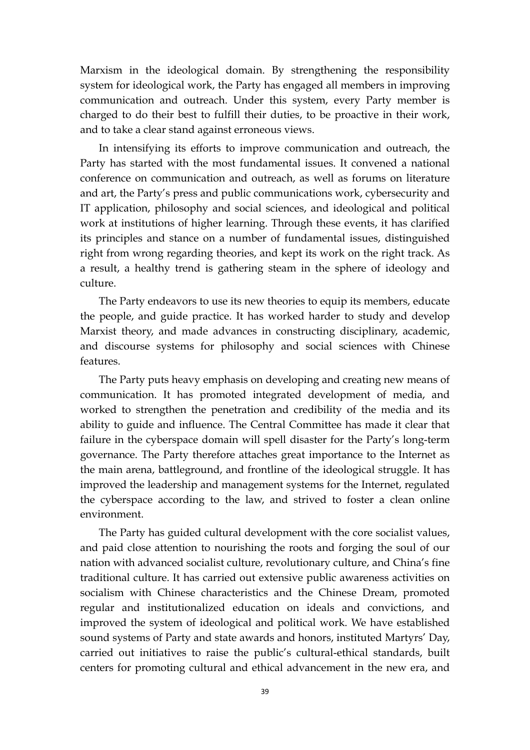Marxism in the ideological domain. By strengthening the responsibility system for ideological work, the Party has engaged all members in improving communication and outreach. Under this system, every Party member is charged to do their best to fulfill their duties, to be proactive in their work, and to take a clear stand against erroneous views.

In intensifying its efforts to improve communication and outreach, the Party has started with the most fundamental issues. It convened a national conference on communication and outreach, as well as forums on literature and art, the Party's press and public communications work, cybersecurity and IT application, philosophy and social sciences, and ideological and political work at institutions of higher learning. Through these events, it has clarified its principles and stance on a number of fundamental issues, distinguished right from wrong regarding theories, and kept its work on the right track. As a result, a healthy trend is gathering steam in the sphere of ideology and culture.

The Party endeavors to use its new theories to equip its members, educate the people, and guide practice. It has worked harder to study and develop Marxist theory, and made advances in constructing disciplinary, academic, and discourse systems for philosophy and social sciences with Chinese features.

The Party puts heavy emphasis on developing and creating new means of communication. It has promoted integrated development of media, and worked to strengthen the penetration and credibility of the media and its ability to guide and influence. The Central Committee has made it clear that failure in the cyberspace domain will spell disaster for the Party's long-term governance. The Party therefore attaches great importance to the Internet as the main arena, battleground, and frontline of the ideological struggle. It has improved the leadership and management systems for the Internet, regulated the cyberspace according to the law, and strived to foster a clean online environment.

The Party has guided cultural development with the core socialist values, and paid close attention to nourishing the roots and forging the soul of our nation with advanced socialist culture, revolutionary culture, and China's fine traditional culture. It has carried out extensive public awareness activities on socialism with Chinese characteristics and the Chinese Dream, promoted regular and institutionalized education on ideals and convictions, and improved the system of ideological and political work. We have established sound systems of Party and state awards and honors, instituted Martyrs' Day, carried out initiatives to raise the public's cultural-ethical standards, built centers for promoting cultural and ethical advancement in the new era, and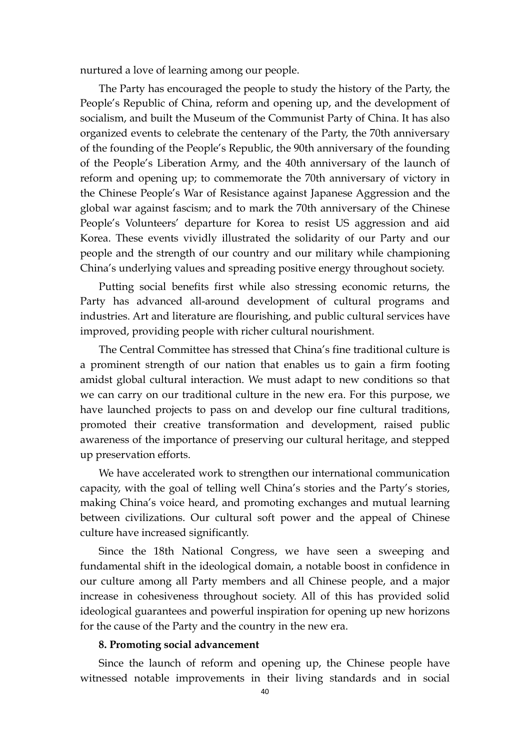nurtured a love of learning among our people.

The Party has encouraged the people to study the history of the Party, the People's Republic of China, reform and opening up, and the development of socialism, and built the Museum of the Communist Party of China. It has also organized events to celebrate the centenary of the Party, the 70th anniversary of the founding of the People's Republic, the 90th anniversary of the founding of the People's Liberation Army, and the 40th anniversary of the launch of reform and opening up; to commemorate the 70th anniversary of victory in the Chinese People's War of Resistance against Japanese Aggression and the global war against fascism; and to mark the 70th anniversary of the Chinese People's Volunteers' departure for Korea to resist US aggression and aid Korea. These events vividly illustrated the solidarity of our Party and our people and the strength of our country and our military while championing China's underlying values and spreading positive energy throughout society.

Putting social benefits first while also stressing economic returns, the Party has advanced all-around development of cultural programs and industries. Art and literature are flourishing, and public cultural services have improved, providing people with richer cultural nourishment.

The Central Committee has stressed that China's fine traditional culture is a prominent strength of our nation that enables us to gain a firm footing amidst global cultural interaction. We must adapt to new conditions so that we can carry on our traditional culture in the new era. For this purpose, we have launched projects to pass on and develop our fine cultural traditions, promoted their creative transformation and development, raised public awareness of the importance of preserving our cultural heritage, and stepped up preservation efforts.

We have accelerated work to strengthen our international communication capacity, with the goal of telling well China's stories and the Party's stories, making China's voice heard, and promoting exchanges and mutual learning between civilizations. Our cultural soft power and the appeal of Chinese culture have increased significantly.

Since the 18th National Congress, we have seen a sweeping and fundamental shift in the ideological domain, a notable boost in confidence in our culture among all Party members and all Chinese people, and a major increase in cohesiveness throughout society. All of this has provided solid ideological guarantees and powerful inspiration for opening up new horizons for the cause of the Party and the country in the new era.

### **8. Promoting social advancement**

 Since the launch of reform and opening up, the Chinese people have witnessed notable improvements in their living standards and in social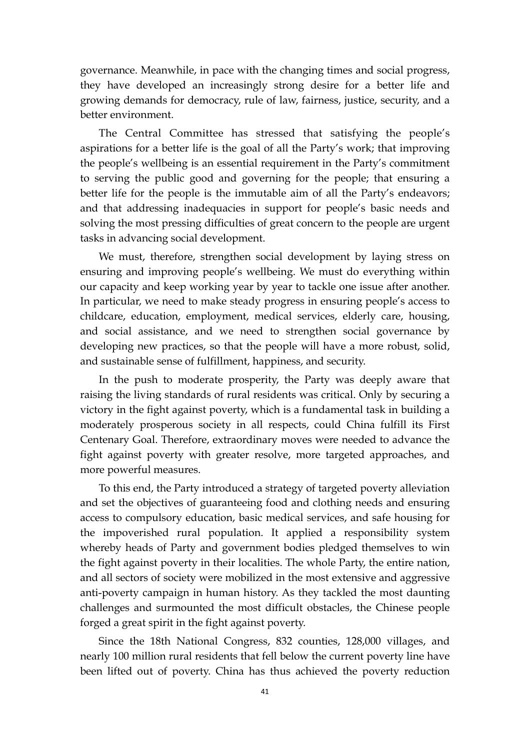governance. Meanwhile, in pace with the changing times and social progress, they have developed an increasingly strong desire for a better life and growing demands for democracy, rule of law, fairness, justice, security, and a better environment.

The Central Committee has stressed that satisfying the people's aspirations for a better life is the goal of all the Party's work; that improving the people's wellbeing is an essential requirement in the Party's commitment to serving the public good and governing for the people; that ensuring a better life for the people is the immutable aim of all the Party's endeavors; and that addressing inadequacies in support for people's basic needs and solving the most pressing difficulties of great concern to the people are urgent tasks in advancing social development.

We must, therefore, strengthen social development by laying stress on ensuring and improving people's wellbeing. We must do everything within our capacity and keep working year by year to tackle one issue after another. In particular, we need to make steady progress in ensuring people's access to childcare, education, employment, medical services, elderly care, housing, and social assistance, and we need to strengthen social governance by developing new practices, so that the people will have a more robust, solid, and sustainable sense of fulfillment, happiness, and security.

In the push to moderate prosperity, the Party was deeply aware that raising the living standards of rural residents was critical. Only by securing a victory in the fight against poverty, which is a fundamental task in building a moderately prosperous society in all respects, could China fulfill its First Centenary Goal. Therefore, extraordinary moves were needed to advance the fight against poverty with greater resolve, more targeted approaches, and more powerful measures.

To this end, the Party introduced a strategy of targeted poverty alleviation and set the objectives of guaranteeing food and clothing needs and ensuring access to compulsory education, basic medical services, and safe housing for the impoverished rural population. It applied a responsibility system whereby heads of Party and government bodies pledged themselves to win the fight against poverty in their localities. The whole Party, the entire nation, and all sectors of society were mobilized in the most extensive and aggressive anti-poverty campaign in human history. As they tackled the most daunting challenges and surmounted the most difficult obstacles, the Chinese people forged a great spirit in the fight against poverty.

Since the 18th National Congress, 832 counties, 128,000 villages, and nearly 100 million rural residents that fell below the current poverty line have been lifted out of poverty. China has thus achieved the poverty reduction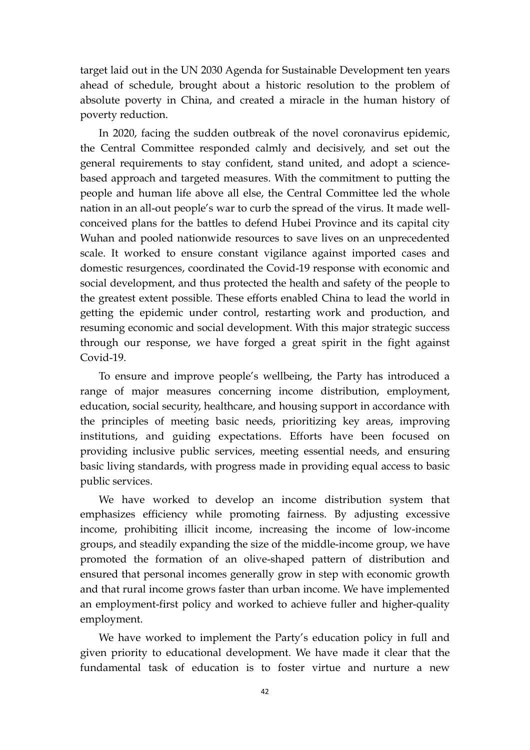target laid out in the UN 2030 Agenda for Sustainable Development ten years ahead of schedule, brought about a historic resolution to the problem of absolute poverty in China, and created a miracle in the human history of poverty reduction.

In 2020, facing the sudden outbreak of the novel coronavirus epidemic, the Central Committee responded calmly and decisively, and set out the general requirements to stay confident, stand united, and adopt a sciencebased approach and targeted measures. With the commitment to putting the people and human life above all else, the Central Committee led the whole nation in an all-out people's war to curb the spread of the virus. It made wellconceived plans for the battles to defend Hubei Province and its capital city Wuhan and pooled nationwide resources to save lives on an unprecedented scale. It worked to ensure constant vigilance against imported cases and domestic resurgences, coordinated the Covid-19 response with economic and social development, and thus protected the health and safety of the people to the greatest extent possible. These efforts enabled China to lead the world in getting the epidemic under control, restarting work and production, and resuming economic and social development. With this major strategic success through our response, we have forged a great spirit in the fight against Covid-19.

To ensure and improve people's wellbeing, the Party has introduced a range of major measures concerning income distribution, employment, education, social security, healthcare, and housing support in accordance with the principles of meeting basic needs, prioritizing key areas, improving institutions, and guiding expectations. Efforts have been focused on providing inclusive public services, meeting essential needs, and ensuring basic living standards, with progress made in providing equal access to basic public services.

We have worked to develop an income distribution system that emphasizes efficiency while promoting fairness. By adjusting excessive income, prohibiting illicit income, increasing the income of low-income groups, and steadily expanding the size of the middle-income group, we have promoted the formation of an olive-shaped pattern of distribution and ensured that personal incomes generally grow in step with economic growth and that rural income grows faster than urban income. We have implemented an employment-first policy and worked to achieve fuller and higher-quality employment.

We have worked to implement the Party's education policy in full and given priority to educational development. We have made it clear that the fundamental task of education is to foster virtue and nurture a new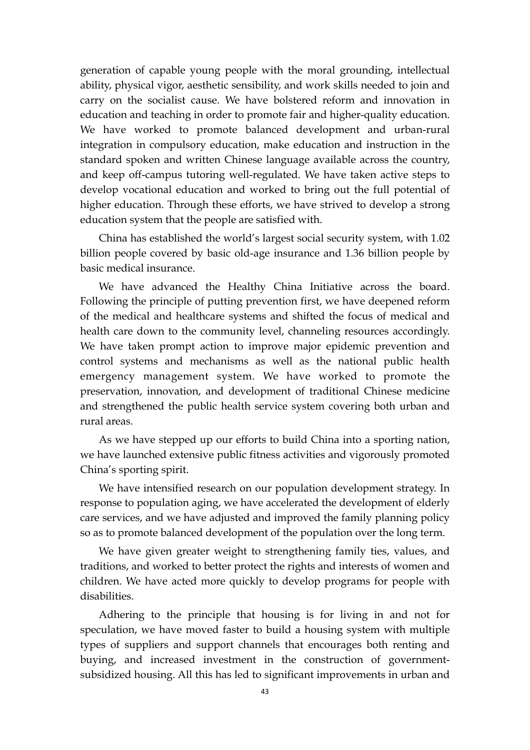generation of capable young people with the moral grounding, intellectual ability, physical vigor, aesthetic sensibility, and work skills needed to join and carry on the socialist cause. We have bolstered reform and innovation in education and teaching in order to promote fair and higher-quality education. We have worked to promote balanced development and urban-rural integration in compulsory education, make education and instruction in the standard spoken and written Chinese language available across the country, and keep off-campus tutoring well-regulated. We have taken active steps to develop vocational education and worked to bring out the full potential of higher education. Through these efforts, we have strived to develop a strong education system that the people are satisfied with.

China has established the world's largest social security system, with 1.02 billion people covered by basic old-age insurance and 1.36 billion people by basic medical insurance.

We have advanced the Healthy China Initiative across the board. Following the principle of putting prevention first, we have deepened reform of the medical and healthcare systems and shifted the focus of medical and health care down to the community level, channeling resources accordingly. We have taken prompt action to improve major epidemic prevention and control systems and mechanisms as well as the national public health emergency management system. We have worked to promote the preservation, innovation, and development of traditional Chinese medicine and strengthened the public health service system covering both urban and rural areas.

As we have stepped up our efforts to build China into a sporting nation, we have launched extensive public fitness activities and vigorously promoted China's sporting spirit.

We have intensified research on our population development strategy. In response to population aging, we have accelerated the development of elderly care services, and we have adjusted and improved the family planning policy so as to promote balanced development of the population over the long term.

We have given greater weight to strengthening family ties, values, and traditions, and worked to better protect the rights and interests of women and children. We have acted more quickly to develop programs for people with disabilities.

Adhering to the principle that housing is for living in and not for speculation, we have moved faster to build a housing system with multiple types of suppliers and support channels that encourages both renting and buying, and increased investment in the construction of governmentsubsidized housing. All this has led to significant improvements in urban and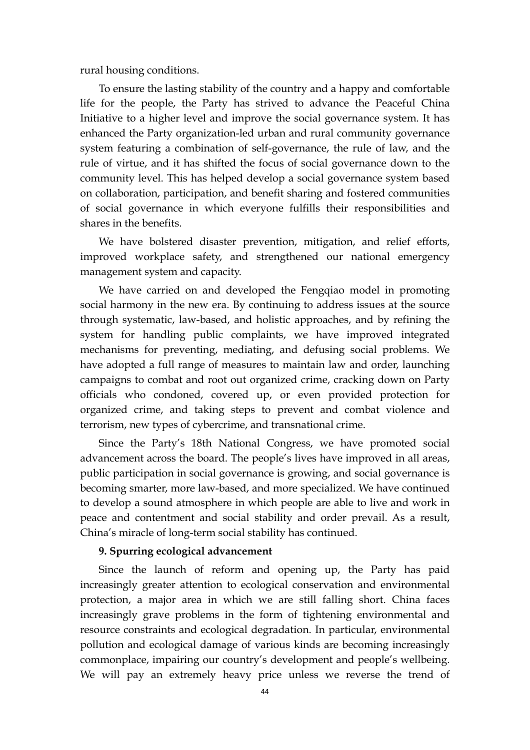rural housing conditions.

To ensure the lasting stability of the country and a happy and comfortable life for the people, the Party has strived to advance the Peaceful China Initiative to a higher level and improve the social governance system. It has enhanced the Party organization-led urban and rural community governance system featuring a combination of self-governance, the rule of law, and the rule of virtue, and it has shifted the focus of social governance down to the community level. This has helped develop a social governance system based on collaboration, participation, and benefit sharing and fostered communities of social governance in which everyone fulfills their responsibilities and shares in the benefits.

We have bolstered disaster prevention, mitigation, and relief efforts, improved workplace safety, and strengthened our national emergency management system and capacity.

We have carried on and developed the Fengqiao model in promoting social harmony in the new era. By continuing to address issues at the source through systematic, law-based, and holistic approaches, and by refining the system for handling public complaints, we have improved integrated mechanisms for preventing, mediating, and defusing social problems. We have adopted a full range of measures to maintain law and order, launching campaigns to combat and root out organized crime, cracking down on Party officials who condoned, covered up, or even provided protection for organized crime, and taking steps to prevent and combat violence and terrorism, new types of cybercrime, and transnational crime.

Since the Party's 18th National Congress, we have promoted social advancement across the board. The people's lives have improved in all areas, public participation in social governance is growing, and social governance is becoming smarter, more law-based, and more specialized. We have continued to develop a sound atmosphere in which people are able to live and work in peace and contentment and social stability and order prevail. As a result, China's miracle of long-term social stability has continued.

### **9. Spurring ecological advancement**

Since the launch of reform and opening up, the Party has paid increasingly greater attention to ecological conservation and environmental protection, a major area in which we are still falling short. China faces increasingly grave problems in the form of tightening environmental and resource constraints and ecological degradation. In particular, environmental pollution and ecological damage of various kinds are becoming increasingly commonplace, impairing our country's development and people's wellbeing. We will pay an extremely heavy price unless we reverse the trend of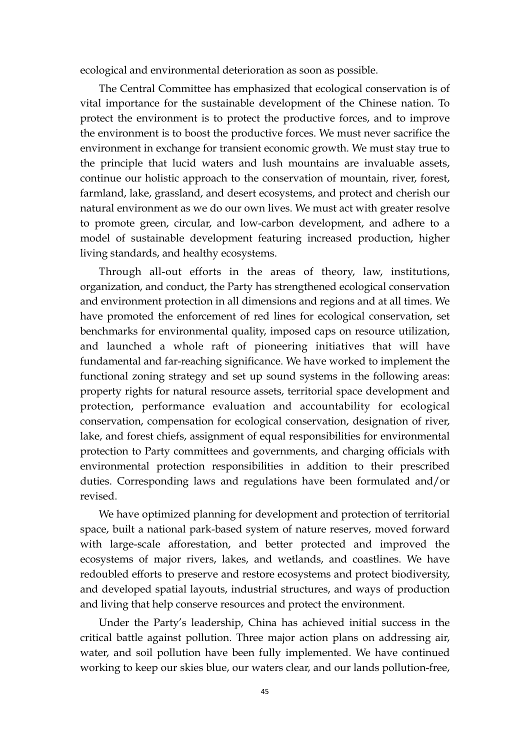ecological and environmental deterioration as soon as possible.

The Central Committee has emphasized that ecological conservation is of vital importance for the sustainable development of the Chinese nation. To protect the environment is to protect the productive forces, and to improve the environment is to boost the productive forces. We must never sacrifice the environment in exchange for transient economic growth. We must stay true to the principle that lucid waters and lush mountains are invaluable assets, continue our holistic approach to the conservation of mountain, river, forest, farmland, lake, grassland, and desert ecosystems, and protect and cherish our natural environment as we do our own lives. We must act with greater resolve to promote green, circular, and low-carbon development, and adhere to a model of sustainable development featuring increased production, higher living standards, and healthy ecosystems.

Through all-out efforts in the areas of theory, law, institutions, organization, and conduct, the Party has strengthened ecological conservation and environment protection in all dimensions and regions and at all times. We have promoted the enforcement of red lines for ecological conservation, set benchmarks for environmental quality, imposed caps on resource utilization, and launched a whole raft of pioneering initiatives that will have fundamental and far-reaching significance. We have worked to implement the functional zoning strategy and set up sound systems in the following areas: property rights for natural resource assets, territorial space development and protection, performance evaluation and accountability for ecological conservation, compensation for ecological conservation, designation of river, lake, and forest chiefs, assignment of equal responsibilities for environmental protection to Party committees and governments, and charging officials with environmental protection responsibilities in addition to their prescribed duties. Corresponding laws and regulations have been formulated and/or revised.

We have optimized planning for development and protection of territorial space, built a national park-based system of nature reserves, moved forward with large-scale afforestation, and better protected and improved the ecosystems of major rivers, lakes, and wetlands, and coastlines. We have redoubled efforts to preserve and restore ecosystems and protect biodiversity, and developed spatial layouts, industrial structures, and ways of production and living that help conserve resources and protect the environment.

Under the Party's leadership, China has achieved initial success in the critical battle against pollution. Three major action plans on addressing air, water, and soil pollution have been fully implemented. We have continued working to keep our skies blue, our waters clear, and our lands pollution-free,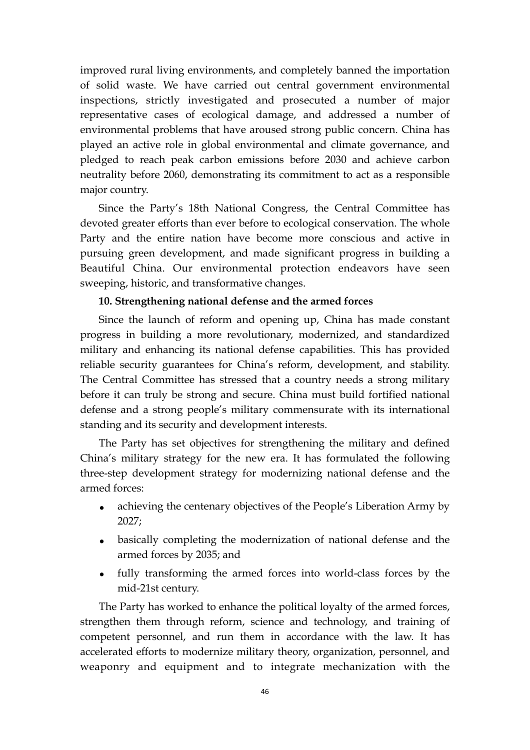improved rural living environments, and completely banned the importation of solid waste. We have carried out central government environmental inspections, strictly investigated and prosecuted a number of major representative cases of ecological damage, and addressed a number of environmental problems that have aroused strong public concern. China has played an active role in global environmental and climate governance, and pledged to reach peak carbon emissions before 2030 and achieve carbon neutrality before 2060, demonstrating its commitment to act as a responsible major country.

Since the Party's 18th National Congress, the Central Committee has devoted greater efforts than ever before to ecological conservation. The whole Party and the entire nation have become more conscious and active in pursuing green development, and made significant progress in building a Beautiful China. Our environmental protection endeavors have seen sweeping, historic, and transformative changes.

### **10. Strengthening national defense and the armed forces**

Since the launch of reform and opening up, China has made constant progress in building a more revolutionary, modernized, and standardized military and enhancing its national defense capabilities. This has provided reliable security guarantees for China's reform, development, and stability. The Central Committee has stressed that a country needs a strong military before it can truly be strong and secure. China must build fortified national defense and a strong people's military commensurate with its international standing and its security and development interests.

The Party has set objectives for strengthening the military and defined China's military strategy for the new era. It has formulated the following three-step development strategy for modernizing national defense and the armed forces:

- achieving the centenary objectives of the People's Liberation Army by 2027;
- basically completing the modernization of national defense and the armed forces by 2035; and
- fully transforming the armed forces into world-class forces by the mid-21st century.

The Party has worked to enhance the political loyalty of the armed forces, strengthen them through reform, science and technology, and training of competent personnel, and run them in accordance with the law. It has accelerated efforts to modernize military theory, organization, personnel, and weaponry and equipment and to integrate mechanization with the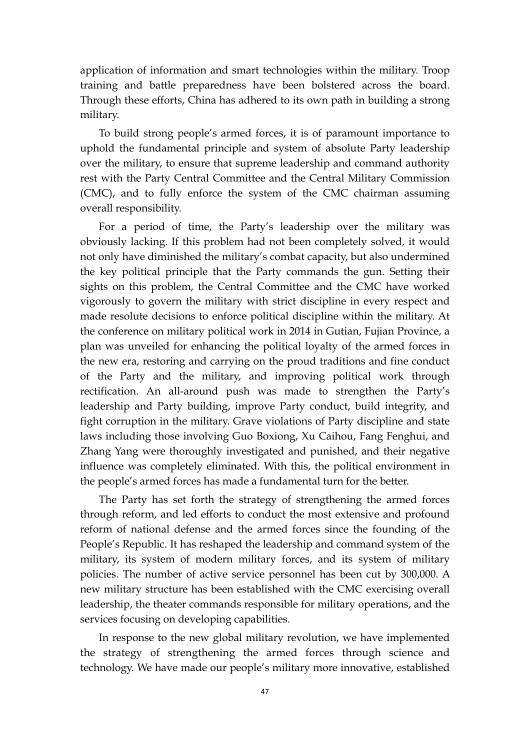application of information and smart technologies within the military. Troop training and battle preparedness have been bolstered across the board. Through these efforts, China has adhered to its own path in building a strong military.

 To build strong people's armed forces, it is of paramount importance to uphold the fundamental principle and system of absolute Party leadership over the military, to ensure that supreme leadership and command authority rest with the Party Central Committee and the Central Military Commission (CMC), and to fully enforce the system of the CMC chairman assuming overall responsibility.

 For a period of time, the Party's leadership over the military was obviously lacking. If this problem had not been completely solved, it would not only have diminished the military's combat capacity, but also undermined the key political principle that the Party commands the gun. Setting their sights on this problem, the Central Committee and the CMC have worked vigorously to govern the military with strict discipline in every respect and made resolute decisions to enforce political discipline within the military. At the conference on military political work in 2014 in Gutian, Fujian Province, a plan was unveiled for enhancing the political loyalty of the armed forces in the new era, restoring and carrying on the proud traditions and fine conduct of the Party and the military, and improving political work through rectification. An all-around push was made to strengthen the Party's leadership and Party building, improve Party conduct, build integrity, and fight corruption in the military. Grave violations of Party discipline and state laws including those involving Guo Boxiong, Xu Caihou, Fang Fenghui, and Zhang Yang were thoroughly investigated and punished, and their negative influence was completely eliminated. With this, the political environment in the people's armed forces has made a fundamental turn for the better.

The Party has set forth the strategy of strengthening the armed forces through reform, and led efforts to conduct the most extensive and profound reform of national defense and the armed forces since the founding of the People's Republic. It has reshaped the leadership and command system of the military, its system of modern military forces, and its system of military policies. The number of active service personnel has been cut by 300,000. A new military structure has been established with the CMC exercising overall leadership, the theater commands responsible for military operations, and the services focusing on developing capabilities.

In response to the new global military revolution, we have implemented the strategy of strengthening the armed forces through science and technology. We have made our people's military more innovative, established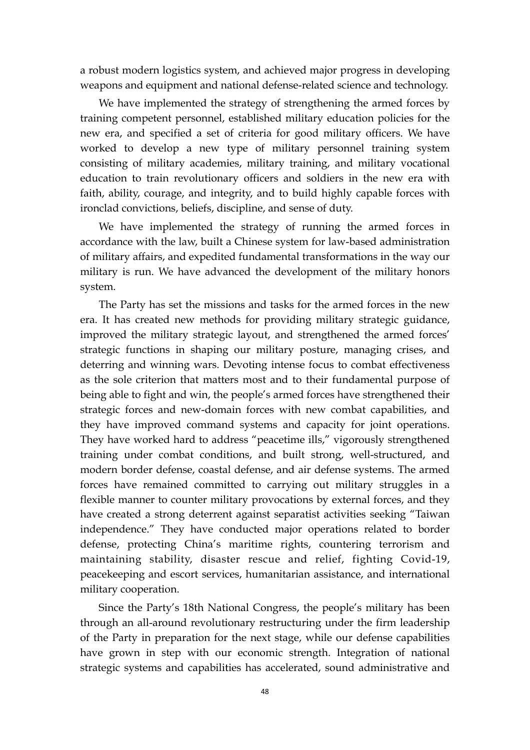a robust modern logistics system, and achieved major progress in developing weapons and equipment and national defense-related science and technology.

We have implemented the strategy of strengthening the armed forces by training competent personnel, established military education policies for the new era, and specified a set of criteria for good military officers. We have worked to develop a new type of military personnel training system consisting of military academies, military training, and military vocational education to train revolutionary officers and soldiers in the new era with faith, ability, courage, and integrity, and to build highly capable forces with ironclad convictions, beliefs, discipline, and sense of duty.

We have implemented the strategy of running the armed forces in accordance with the law, built a Chinese system for law-based administration of military affairs, and expedited fundamental transformations in the way our military is run. We have advanced the development of the military honors system.

The Party has set the missions and tasks for the armed forces in the new era. It has created new methods for providing military strategic guidance, improved the military strategic layout, and strengthened the armed forces' strategic functions in shaping our military posture, managing crises, and deterring and winning wars. Devoting intense focus to combat effectiveness as the sole criterion that matters most and to their fundamental purpose of being able to fight and win, the people's armed forces have strengthened their strategic forces and new-domain forces with new combat capabilities, and they have improved command systems and capacity for joint operations. They have worked hard to address "peacetime ills," vigorously strengthened training under combat conditions, and built strong, well-structured, and modern border defense, coastal defense, and air defense systems. The armed forces have remained committed to carrying out military struggles in a flexible manner to counter military provocations by external forces, and they have created a strong deterrent against separatist activities seeking "Taiwan independence." They have conducted major operations related to border defense, protecting China's maritime rights, countering terrorism and maintaining stability, disaster rescue and relief, fighting Covid-19, peacekeeping and escort services, humanitarian assistance, and international military cooperation.

Since the Party's 18th National Congress, the people's military has been through an all-around revolutionary restructuring under the firm leadership of the Party in preparation for the next stage, while our defense capabilities have grown in step with our economic strength. Integration of national strategic systems and capabilities has accelerated, sound administrative and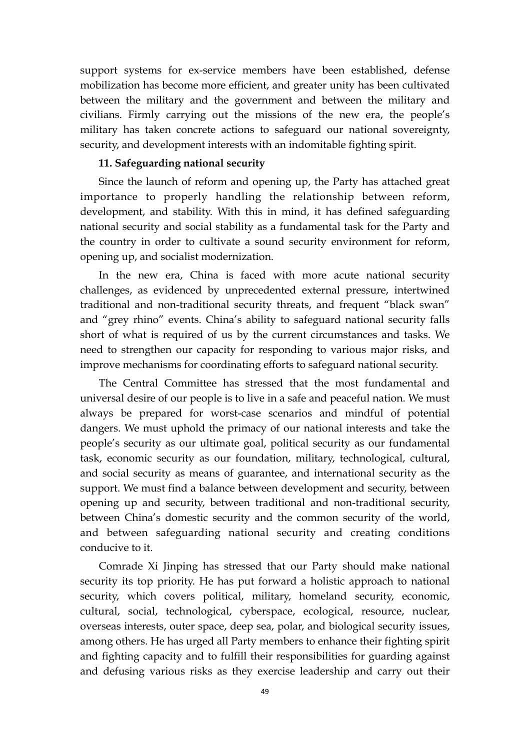support systems for ex-service members have been established, defense mobilization has become more efficient, and greater unity has been cultivated between the military and the government and between the military and civilians. Firmly carrying out the missions of the new era, the people's military has taken concrete actions to safeguard our national sovereignty, security, and development interests with an indomitable fighting spirit.

### **11. Safeguarding national security**

Since the launch of reform and opening up, the Party has attached great importance to properly handling the relationship between reform, development, and stability. With this in mind, it has defined safeguarding national security and social stability as a fundamental task for the Party and the country in order to cultivate a sound security environment for reform, opening up, and socialist modernization.

In the new era, China is faced with more acute national security challenges, as evidenced by unprecedented external pressure, intertwined traditional and non-traditional security threats, and frequent "black swan" and "grey rhino" events. China's ability to safeguard national security falls short of what is required of us by the current circumstances and tasks. We need to strengthen our capacity for responding to various major risks, and improve mechanisms for coordinating efforts to safeguard national security.

The Central Committee has stressed that the most fundamental and universal desire of our people is to live in a safe and peaceful nation. We must always be prepared for worst-case scenarios and mindful of potential dangers. We must uphold the primacy of our national interests and take the people's security as our ultimate goal, political security as our fundamental task, economic security as our foundation, military, technological, cultural, and social security as means of guarantee, and international security as the support. We must find a balance between development and security, between opening up and security, between traditional and non-traditional security, between China's domestic security and the common security of the world, and between safeguarding national security and creating conditions conducive to it.

Comrade Xi Jinping has stressed that our Party should make national security its top priority. He has put forward a holistic approach to national security, which covers political, military, homeland security, economic, cultural, social, technological, cyberspace, ecological, resource, nuclear, overseas interests, outer space, deep sea, polar, and biological security issues, among others. He has urged all Party members to enhance their fighting spirit and fighting capacity and to fulfill their responsibilities for guarding against and defusing various risks as they exercise leadership and carry out their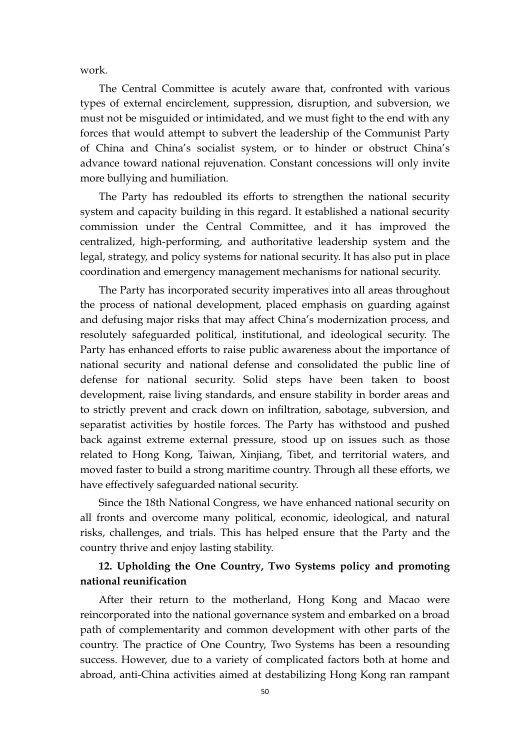work.

The Central Committee is acutely aware that, confronted with various types of external encirclement, suppression, disruption, and subversion, we must not be misguided or intimidated, and we must fight to the end with any forces that would attempt to subvert the leadership of the Communist Party of China and China's socialist system, or to hinder or obstruct China's advance toward national rejuvenation. Constant concessions will only invite more bullying and humiliation.

The Party has redoubled its efforts to strengthen the national security system and capacity building in this regard. It established a national security commission under the Central Committee, and it has improved the centralized, high-performing, and authoritative leadership system and the legal, strategy, and policy systems for national security. It has also put in place coordination and emergency management mechanisms for national security.

The Party has incorporated security imperatives into all areas throughout the process of national development, placed emphasis on guarding against and defusing major risks that may affect China's modernization process, and resolutely safeguarded political, institutional, and ideological security. The Party has enhanced efforts to raise public awareness about the importance of national security and national defense and consolidated the public line of defense for national security. Solid steps have been taken to boost development, raise living standards, and ensure stability in border areas and to strictly prevent and crack down on infiltration, sabotage, subversion, and separatist activities by hostile forces. The Party has withstood and pushed back against extreme external pressure, stood up on issues such as those related to Hong Kong, Taiwan, Xinjiang, Tibet, and territorial waters, and moved faster to build a strong maritime country. Through all these efforts, we have effectively safeguarded national security.

Since the 18th National Congress, we have enhanced national security on all fronts and overcome many political, economic, ideological, and natural risks, challenges, and trials. This has helped ensure that the Party and the country thrive and enjoy lasting stability.

## **12. Upholding the One Country, Two Systems policy and promoting national reunification**

After their return to the motherland, Hong Kong and Macao were reincorporated into the national governance system and embarked on a broad path of complementarity and common development with other parts of the country. The practice of One Country, Two Systems has been a resounding success. However, due to a variety of complicated factors both at home and abroad, anti-China activities aimed at destabilizing Hong Kong ran rampant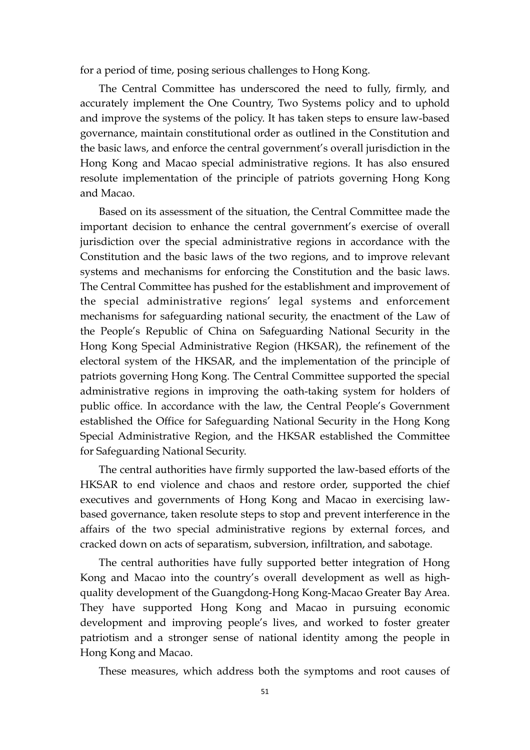for a period of time, posing serious challenges to Hong Kong.

The Central Committee has underscored the need to fully, firmly, and accurately implement the One Country, Two Systems policy and to uphold and improve the systems of the policy. It has taken steps to ensure law-based governance, maintain constitutional order as outlined in the Constitution and the basic laws, and enforce the central government's overall jurisdiction in the Hong Kong and Macao special administrative regions. It has also ensured resolute implementation of the principle of patriots governing Hong Kong and Macao.

Based on its assessment of the situation, the Central Committee made the important decision to enhance the central government's exercise of overall jurisdiction over the special administrative regions in accordance with the Constitution and the basic laws of the two regions, and to improve relevant systems and mechanisms for enforcing the Constitution and the basic laws. The Central Committee has pushed for the establishment and improvement of the special administrative regions' legal systems and enforcement mechanisms for safeguarding national security, the enactment of the Law of the People's Republic of China on Safeguarding National Security in the Hong Kong Special Administrative Region (HKSAR), the refinement of the electoral system of the HKSAR, and the implementation of the principle of patriots governing Hong Kong. The Central Committee supported the special administrative regions in improving the oath-taking system for holders of public office. In accordance with the law, the Central People's Government established the Office for Safeguarding National Security in the Hong Kong Special Administrative Region, and the HKSAR established the Committee for Safeguarding National Security.

The central authorities have firmly supported the law-based efforts of the HKSAR to end violence and chaos and restore order, supported the chief executives and governments of Hong Kong and Macao in exercising lawbased governance, taken resolute steps to stop and prevent interference in the affairs of the two special administrative regions by external forces, and cracked down on acts of separatism, subversion, infiltration, and sabotage.

The central authorities have fully supported better integration of Hong Kong and Macao into the country's overall development as well as highquality development of the Guangdong-Hong Kong-Macao Greater Bay Area. They have supported Hong Kong and Macao in pursuing economic development and improving people's lives, and worked to foster greater patriotism and a stronger sense of national identity among the people in Hong Kong and Macao.

These measures, which address both the symptoms and root causes of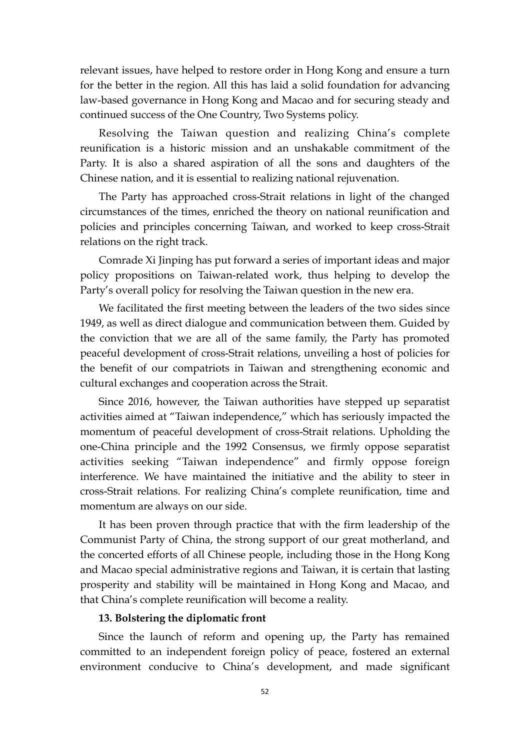relevant issues, have helped to restore order in Hong Kong and ensure a turn for the better in the region. All this has laid a solid foundation for advancing law-based governance in Hong Kong and Macao and for securing steady and continued success of the One Country, Two Systems policy.

Resolving the Taiwan question and realizing China's complete reunification is a historic mission and an unshakable commitment of the Party. It is also a shared aspiration of all the sons and daughters of the Chinese nation, and it is essential to realizing national rejuvenation.

The Party has approached cross-Strait relations in light of the changed circumstances of the times, enriched the theory on national reunification and policies and principles concerning Taiwan, and worked to keep cross-Strait relations on the right track.

Comrade Xi Jinping has put forward a series of important ideas and major policy propositions on Taiwan-related work, thus helping to develop the Party's overall policy for resolving the Taiwan question in the new era.

We facilitated the first meeting between the leaders of the two sides since 1949, as well as direct dialogue and communication between them. Guided by the conviction that we are all of the same family, the Party has promoted peaceful development of cross-Strait relations, unveiling a host of policies for the benefit of our compatriots in Taiwan and strengthening economic and cultural exchanges and cooperation across the Strait.

Since 2016, however, the Taiwan authorities have stepped up separatist activities aimed at "Taiwan independence," which has seriously impacted the momentum of peaceful development of cross-Strait relations. Upholding the one-China principle and the 1992 Consensus, we firmly oppose separatist activities seeking "Taiwan independence" and firmly oppose foreign interference. We have maintained the initiative and the ability to steer in cross-Strait relations. For realizing China's complete reunification, time and momentum are always on our side.

It has been proven through practice that with the firm leadership of the Communist Party of China, the strong support of our great motherland, and the concerted efforts of all Chinese people, including those in the Hong Kong and Macao special administrative regions and Taiwan, it is certain that lasting prosperity and stability will be maintained in Hong Kong and Macao, and that China's complete reunification will become a reality.

### **13. Bolstering the diplomatic front**

Since the launch of reform and opening up, the Party has remained committed to an independent foreign policy of peace, fostered an external environment conducive to China's development, and made significant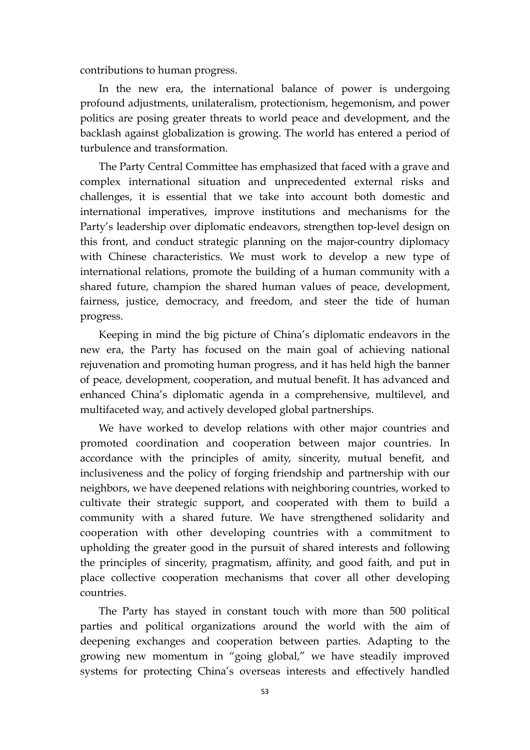contributions to human progress.

In the new era, the international balance of power is undergoing profound adjustments, unilateralism, protectionism, hegemonism, and power politics are posing greater threats to world peace and development, and the backlash against globalization is growing. The world has entered a period of turbulence and transformation.

The Party Central Committee has emphasized that faced with a grave and complex international situation and unprecedented external risks and challenges, it is essential that we take into account both domestic and international imperatives, improve institutions and mechanisms for the Party's leadership over diplomatic endeavors, strengthen top-level design on this front, and conduct strategic planning on the major-country diplomacy with Chinese characteristics. We must work to develop a new type of international relations, promote the building of a human community with a shared future, champion the shared human values of peace, development, fairness, justice, democracy, and freedom, and steer the tide of human progress.

Keeping in mind the big picture of China's diplomatic endeavors in the new era, the Party has focused on the main goal of achieving national rejuvenation and promoting human progress, and it has held high the banner of peace, development, cooperation, and mutual benefit. It has advanced and enhanced China's diplomatic agenda in a comprehensive, multilevel, and multifaceted way, and actively developed global partnerships.

We have worked to develop relations with other major countries and promoted coordination and cooperation between major countries. In accordance with the principles of amity, sincerity, mutual benefit, and inclusiveness and the policy of forging friendship and partnership with our neighbors, we have deepened relations with neighboring countries, worked to cultivate their strategic support, and cooperated with them to build a community with a shared future. We have strengthened solidarity and cooperation with other developing countries with a commitment to upholding the greater good in the pursuit of shared interests and following the principles of sincerity, pragmatism, affinity, and good faith, and put in place collective cooperation mechanisms that cover all other developing countries.

The Party has stayed in constant touch with more than 500 political parties and political organizations around the world with the aim of deepening exchanges and cooperation between parties. Adapting to the growing new momentum in "going global," we have steadily improved systems for protecting China's overseas interests and effectively handled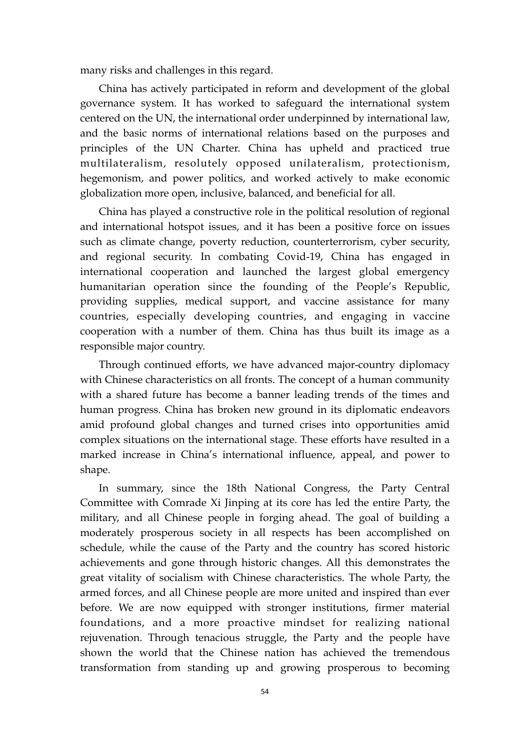many risks and challenges in this regard.

China has actively participated in reform and development of the global governance system. It has worked to safeguard the international system centered on the UN, the international order underpinned by international law, and the basic norms of international relations based on the purposes and principles of the UN Charter. China has upheld and practiced true multilateralism, resolutely opposed unilateralism, protectionism, hegemonism, and power politics, and worked actively to make economic globalization more open, inclusive, balanced, and beneficial for all.

China has played a constructive role in the political resolution of regional and international hotspot issues, and it has been a positive force on issues such as climate change, poverty reduction, counterterrorism, cyber security, and regional security. In combating Covid-19, China has engaged in international cooperation and launched the largest global emergency humanitarian operation since the founding of the People's Republic, providing supplies, medical support, and vaccine assistance for many countries, especially developing countries, and engaging in vaccine cooperation with a number of them. China has thus built its image as a responsible major country.

Through continued efforts, we have advanced major-country diplomacy with Chinese characteristics on all fronts. The concept of a human community with a shared future has become a banner leading trends of the times and human progress. China has broken new ground in its diplomatic endeavors amid profound global changes and turned crises into opportunities amid complex situations on the international stage. These efforts have resulted in a marked increase in China's international influence, appeal, and power to shape.

In summary, since the 18th National Congress, the Party Central Committee with Comrade Xi Jinping at its core has led the entire Party, the military, and all Chinese people in forging ahead. The goal of building a moderately prosperous society in all respects has been accomplished on schedule, while the cause of the Party and the country has scored historic achievements and gone through historic changes. All this demonstrates the great vitality of socialism with Chinese characteristics. The whole Party, the armed forces, and all Chinese people are more united and inspired than ever before. We are now equipped with stronger institutions, firmer material foundations, and a more proactive mindset for realizing national rejuvenation. Through tenacious struggle, the Party and the people have shown the world that the Chinese nation has achieved the tremendous transformation from standing up and growing prosperous to becoming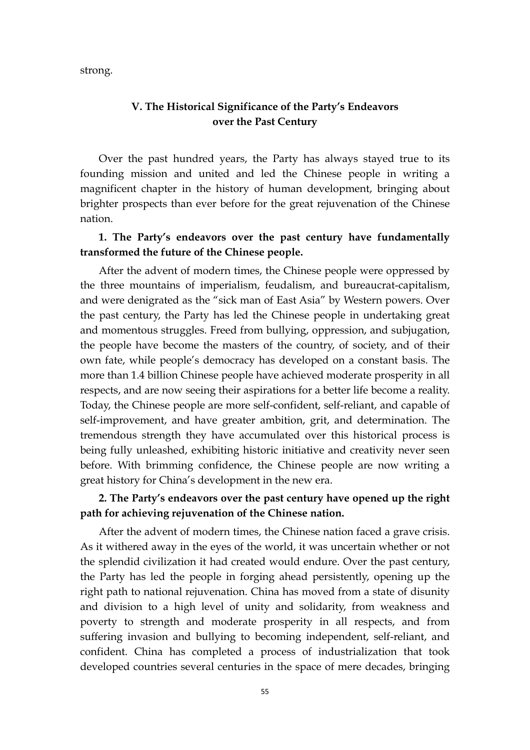strong.

## **V. The Historical Significance of the Party's Endeavors over the Past Century**

Over the past hundred years, the Party has always stayed true to its founding mission and united and led the Chinese people in writing a magnificent chapter in the history of human development, bringing about brighter prospects than ever before for the great rejuvenation of the Chinese nation.

## **1. The Party's endeavors over the past century have fundamentally transformed the future of the Chinese people.**

After the advent of modern times, the Chinese people were oppressed by the three mountains of imperialism, feudalism, and bureaucrat-capitalism, and were denigrated as the "sick man of East Asia" by Western powers. Over the past century, the Party has led the Chinese people in undertaking great and momentous struggles. Freed from bullying, oppression, and subjugation, the people have become the masters of the country, of society, and of their own fate, while people's democracy has developed on a constant basis. The more than 1.4 billion Chinese people have achieved moderate prosperity in all respects, and are now seeing their aspirations for a better life become a reality. Today, the Chinese people are more self-confident, self-reliant, and capable of self-improvement, and have greater ambition, grit, and determination. The tremendous strength they have accumulated over this historical process is being fully unleashed, exhibiting historic initiative and creativity never seen before. With brimming confidence, the Chinese people are now writing a great history for China's development in the new era.

# **2. The Party's endeavors over the past century have opened up the right path for achieving rejuvenation of the Chinese nation.**

After the advent of modern times, the Chinese nation faced a grave crisis. As it withered away in the eyes of the world, it was uncertain whether or not the splendid civilization it had created would endure. Over the past century, the Party has led the people in forging ahead persistently, opening up the right path to national rejuvenation. China has moved from a state of disunity and division to a high level of unity and solidarity, from weakness and poverty to strength and moderate prosperity in all respects, and from suffering invasion and bullying to becoming independent, self-reliant, and confident. China has completed a process of industrialization that took developed countries several centuries in the space of mere decades, bringing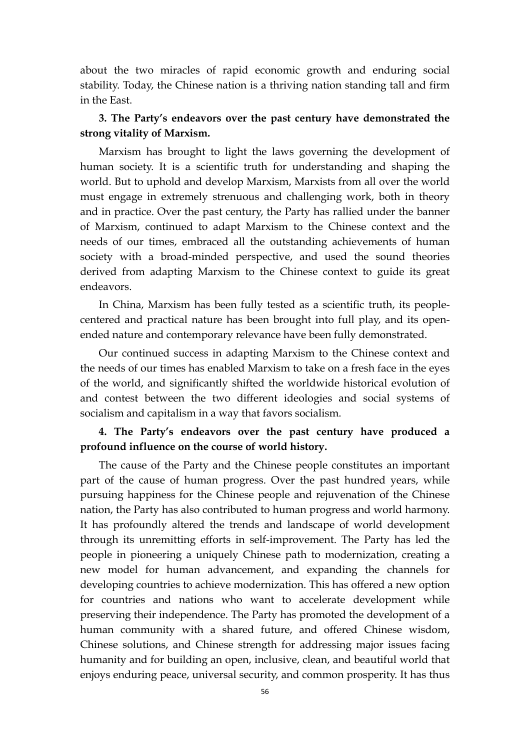about the two miracles of rapid economic growth and enduring social stability. Today, the Chinese nation is a thriving nation standing tall and firm in the East.

## **3. The Party's endeavors over the past century have demonstrated the strong vitality of Marxism.**

Marxism has brought to light the laws governing the development of human society. It is a scientific truth for understanding and shaping the world. But to uphold and develop Marxism, Marxists from all over the world must engage in extremely strenuous and challenging work, both in theory and in practice. Over the past century, the Party has rallied under the banner of Marxism, continued to adapt Marxism to the Chinese context and the needs of our times, embraced all the outstanding achievements of human society with a broad-minded perspective, and used the sound theories derived from adapting Marxism to the Chinese context to guide its great endeavors.

In China, Marxism has been fully tested as a scientific truth, its peoplecentered and practical nature has been brought into full play, and its openended nature and contemporary relevance have been fully demonstrated.

Our continued success in adapting Marxism to the Chinese context and the needs of our times has enabled Marxism to take on a fresh face in the eyes of the world, and significantly shifted the worldwide historical evolution of and contest between the two different ideologies and social systems of socialism and capitalism in a way that favors socialism.

## **4. The Party's endeavors over the past century have produced a profound influence on the course of world history.**

The cause of the Party and the Chinese people constitutes an important part of the cause of human progress. Over the past hundred years, while pursuing happiness for the Chinese people and rejuvenation of the Chinese nation, the Party has also contributed to human progress and world harmony. It has profoundly altered the trends and landscape of world development through its unremitting efforts in self-improvement. The Party has led the people in pioneering a uniquely Chinese path to modernization, creating a new model for human advancement, and expanding the channels for developing countries to achieve modernization. This has offered a new option for countries and nations who want to accelerate development while preserving their independence. The Party has promoted the development of a human community with a shared future, and offered Chinese wisdom, Chinese solutions, and Chinese strength for addressing major issues facing humanity and for building an open, inclusive, clean, and beautiful world that enjoys enduring peace, universal security, and common prosperity. It has thus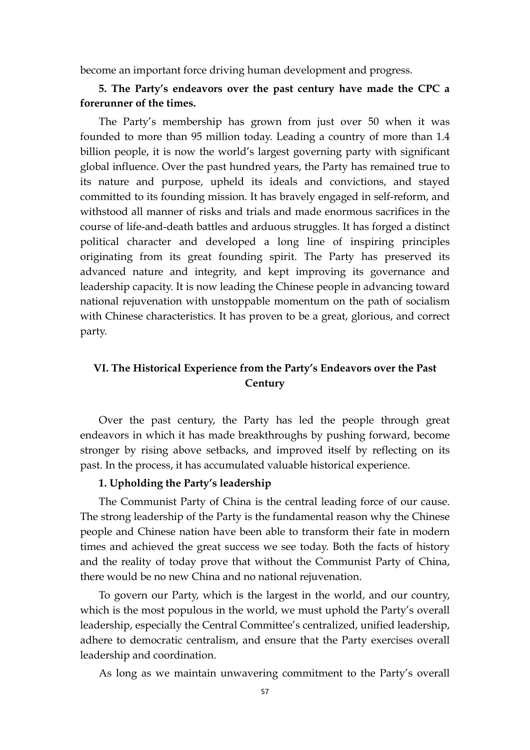become an important force driving human development and progress.

## **5. The Party's endeavors over the past century have made the CPC a forerunner of the times.**

The Party's membership has grown from just over 50 when it was founded to more than 95 million today. Leading a country of more than 1.4 billion people, it is now the world's largest governing party with significant global influence. Over the past hundred years, the Party has remained true to its nature and purpose, upheld its ideals and convictions, and stayed committed to its founding mission. It has bravely engaged in self-reform, and withstood all manner of risks and trials and made enormous sacrifices in the course of life-and-death battles and arduous struggles. It has forged a distinct political character and developed a long line of inspiring principles originating from its great founding spirit. The Party has preserved its advanced nature and integrity, and kept improving its governance and leadership capacity. It is now leading the Chinese people in advancing toward national rejuvenation with unstoppable momentum on the path of socialism with Chinese characteristics. It has proven to be a great, glorious, and correct party.

# **VI. The Historical Experience from the Party's Endeavors over the Past Century**

Over the past century, the Party has led the people through great endeavors in which it has made breakthroughs by pushing forward, become stronger by rising above setbacks, and improved itself by reflecting on its past. In the process, it has accumulated valuable historical experience.

### **1. Upholding the Party's leadership**

The Communist Party of China is the central leading force of our cause. The strong leadership of the Party is the fundamental reason why the Chinese people and Chinese nation have been able to transform their fate in modern times and achieved the great success we see today. Both the facts of history and the reality of today prove that without the Communist Party of China, there would be no new China and no national rejuvenation.

To govern our Party, which is the largest in the world, and our country, which is the most populous in the world, we must uphold the Party's overall leadership, especially the Central Committee's centralized, unified leadership, adhere to democratic centralism, and ensure that the Party exercises overall leadership and coordination.

As long as we maintain unwavering commitment to the Party's overall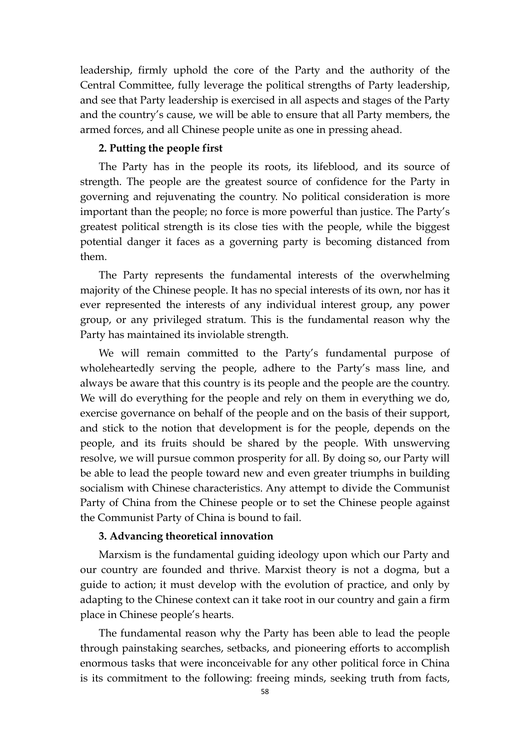leadership, firmly uphold the core of the Party and the authority of the Central Committee, fully leverage the political strengths of Party leadership, and see that Party leadership is exercised in all aspects and stages of the Party and the country's cause, we will be able to ensure that all Party members, the armed forces, and all Chinese people unite as one in pressing ahead.

### **2. Putting the people first**

The Party has in the people its roots, its lifeblood, and its source of strength. The people are the greatest source of confidence for the Party in governing and rejuvenating the country. No political consideration is more important than the people; no force is more powerful than justice. The Party's greatest political strength is its close ties with the people, while the biggest potential danger it faces as a governing party is becoming distanced from them.

The Party represents the fundamental interests of the overwhelming majority of the Chinese people. It has no special interests of its own, nor has it ever represented the interests of any individual interest group, any power group, or any privileged stratum. This is the fundamental reason why the Party has maintained its inviolable strength.

We will remain committed to the Party's fundamental purpose of wholeheartedly serving the people, adhere to the Party's mass line, and always be aware that this country is its people and the people are the country. We will do everything for the people and rely on them in everything we do, exercise governance on behalf of the people and on the basis of their support, and stick to the notion that development is for the people, depends on the people, and its fruits should be shared by the people. With unswerving resolve, we will pursue common prosperity for all. By doing so, our Party will be able to lead the people toward new and even greater triumphs in building socialism with Chinese characteristics. Any attempt to divide the Communist Party of China from the Chinese people or to set the Chinese people against the Communist Party of China is bound to fail.

### **3. Advancing theoretical innovation**

Marxism is the fundamental guiding ideology upon which our Party and our country are founded and thrive. Marxist theory is not a dogma, but a guide to action; it must develop with the evolution of practice, and only by adapting to the Chinese context can it take root in our country and gain a firm place in Chinese people's hearts.

The fundamental reason why the Party has been able to lead the people through painstaking searches, setbacks, and pioneering efforts to accomplish enormous tasks that were inconceivable for any other political force in China is its commitment to the following: freeing minds, seeking truth from facts,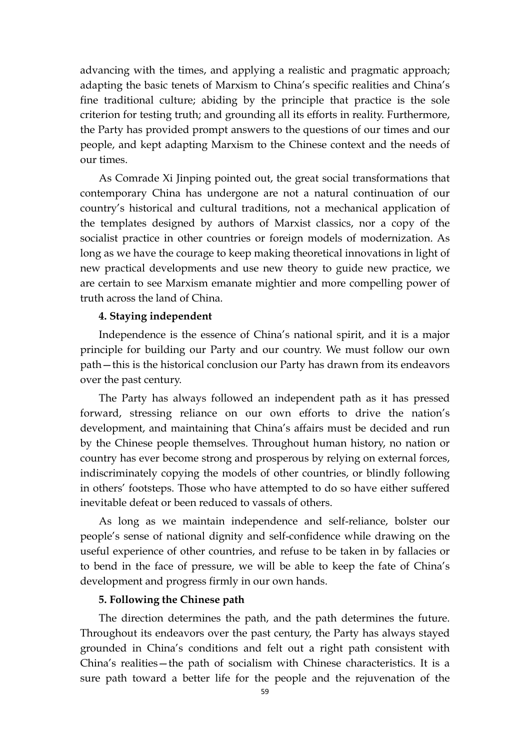advancing with the times, and applying a realistic and pragmatic approach; adapting the basic tenets of Marxism to China's specific realities and China's fine traditional culture; abiding by the principle that practice is the sole criterion for testing truth; and grounding all its efforts in reality. Furthermore, the Party has provided prompt answers to the questions of our times and our people, and kept adapting Marxism to the Chinese context and the needs of our times.

As Comrade Xi Jinping pointed out, the great social transformations that contemporary China has undergone are not a natural continuation of our country's historical and cultural traditions, not a mechanical application of the templates designed by authors of Marxist classics, nor a copy of the socialist practice in other countries or foreign models of modernization. As long as we have the courage to keep making theoretical innovations in light of new practical developments and use new theory to guide new practice, we are certain to see Marxism emanate mightier and more compelling power of truth across the land of China.

### **4. Staying independent**

Independence is the essence of China's national spirit, and it is a major principle for building our Party and our country. We must follow our own path—this is the historical conclusion our Party has drawn from its endeavors over the past century.

The Party has always followed an independent path as it has pressed forward, stressing reliance on our own efforts to drive the nation's development, and maintaining that China's affairs must be decided and run by the Chinese people themselves. Throughout human history, no nation or country has ever become strong and prosperous by relying on external forces, indiscriminately copying the models of other countries, or blindly following in others' footsteps. Those who have attempted to do so have either suffered inevitable defeat or been reduced to vassals of others.

As long as we maintain independence and self-reliance, bolster our people's sense of national dignity and self-confidence while drawing on the useful experience of other countries, and refuse to be taken in by fallacies or to bend in the face of pressure, we will be able to keep the fate of China's development and progress firmly in our own hands.

### **5. Following the Chinese path**

The direction determines the path, and the path determines the future. Throughout its endeavors over the past century, the Party has always stayed grounded in China's conditions and felt out a right path consistent with China's realities—the path of socialism with Chinese characteristics. It is a sure path toward a better life for the people and the rejuvenation of the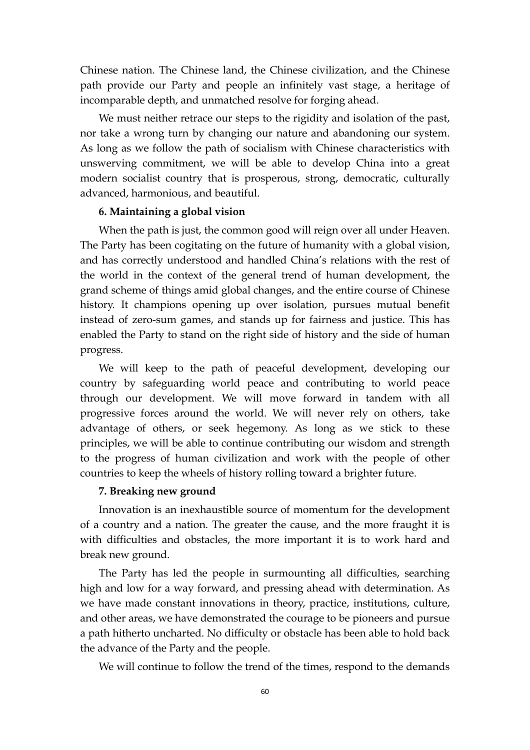Chinese nation. The Chinese land, the Chinese civilization, and the Chinese path provide our Party and people an infinitely vast stage, a heritage of incomparable depth, and unmatched resolve for forging ahead.

We must neither retrace our steps to the rigidity and isolation of the past, nor take a wrong turn by changing our nature and abandoning our system. As long as we follow the path of socialism with Chinese characteristics with unswerving commitment, we will be able to develop China into a great modern socialist country that is prosperous, strong, democratic, culturally advanced, harmonious, and beautiful.

### **6. Maintaining a global vision**

When the path is just, the common good will reign over all under Heaven. The Party has been cogitating on the future of humanity with a global vision, and has correctly understood and handled China's relations with the rest of the world in the context of the general trend of human development, the grand scheme of things amid global changes, and the entire course of Chinese history. It champions opening up over isolation, pursues mutual benefit instead of zero-sum games, and stands up for fairness and justice. This has enabled the Party to stand on the right side of history and the side of human progress.

We will keep to the path of peaceful development, developing our country by safeguarding world peace and contributing to world peace through our development. We will move forward in tandem with all progressive forces around the world. We will never rely on others, take advantage of others, or seek hegemony. As long as we stick to these principles, we will be able to continue contributing our wisdom and strength to the progress of human civilization and work with the people of other countries to keep the wheels of history rolling toward a brighter future.

### **7. Breaking new ground**

Innovation is an inexhaustible source of momentum for the development of a country and a nation. The greater the cause, and the more fraught it is with difficulties and obstacles, the more important it is to work hard and break new ground.

The Party has led the people in surmounting all difficulties, searching high and low for a way forward, and pressing ahead with determination. As we have made constant innovations in theory, practice, institutions, culture, and other areas, we have demonstrated the courage to be pioneers and pursue a path hitherto uncharted. No difficulty or obstacle has been able to hold back the advance of the Party and the people.

We will continue to follow the trend of the times, respond to the demands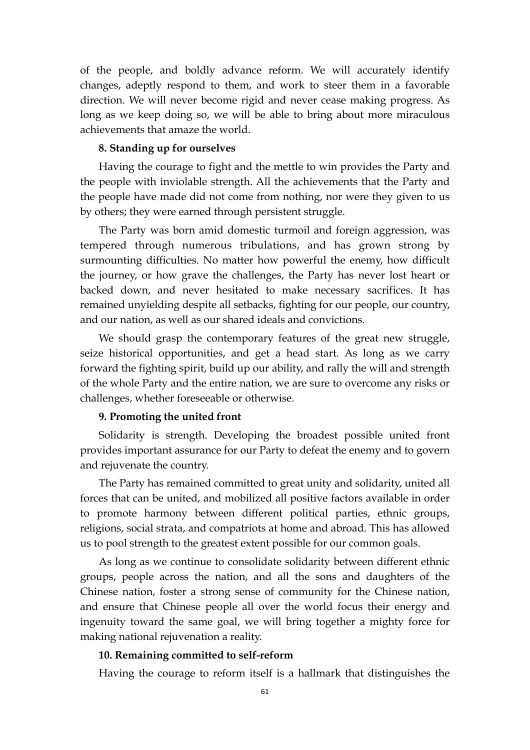of the people, and boldly advance reform. We will accurately identify changes, adeptly respond to them, and work to steer them in a favorable direction. We will never become rigid and never cease making progress. As long as we keep doing so, we will be able to bring about more miraculous achievements that amaze the world.

### **8. Standing up for ourselves**

Having the courage to fight and the mettle to win provides the Party and the people with inviolable strength. All the achievements that the Party and the people have made did not come from nothing, nor were they given to us by others; they were earned through persistent struggle.

The Party was born amid domestic turmoil and foreign aggression, was tempered through numerous tribulations, and has grown strong by surmounting difficulties. No matter how powerful the enemy, how difficult the journey, or how grave the challenges, the Party has never lost heart or backed down, and never hesitated to make necessary sacrifices. It has remained unyielding despite all setbacks, fighting for our people, our country, and our nation, as well as our shared ideals and convictions.

We should grasp the contemporary features of the great new struggle, seize historical opportunities, and get a head start. As long as we carry forward the fighting spirit, build up our ability, and rally the will and strength of the whole Party and the entire nation, we are sure to overcome any risks or challenges, whether foreseeable or otherwise.

### **9. Promoting the united front**

Solidarity is strength. Developing the broadest possible united front provides important assurance for our Party to defeat the enemy and to govern and rejuvenate the country.

The Party has remained committed to great unity and solidarity, united all forces that can be united, and mobilized all positive factors available in order to promote harmony between different political parties, ethnic groups, religions, social strata, and compatriots at home and abroad. This has allowed us to pool strength to the greatest extent possible for our common goals.

As long as we continue to consolidate solidarity between different ethnic groups, people across the nation, and all the sons and daughters of the Chinese nation, foster a strong sense of community for the Chinese nation, and ensure that Chinese people all over the world focus their energy and ingenuity toward the same goal, we will bring together a mighty force for making national rejuvenation a reality.

#### **10. Remaining committed to self-reform**

Having the courage to reform itself is a hallmark that distinguishes the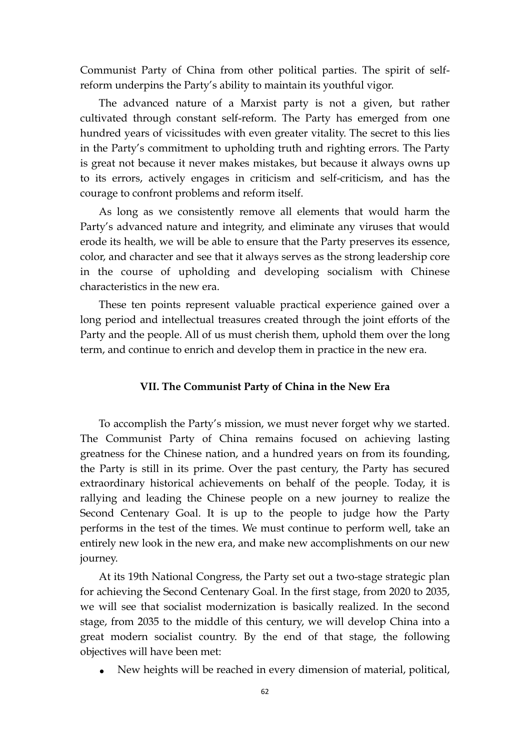Communist Party of China from other political parties. The spirit of selfreform underpins the Party's ability to maintain its youthful vigor.

The advanced nature of a Marxist party is not a given, but rather cultivated through constant self-reform. The Party has emerged from one hundred years of vicissitudes with even greater vitality. The secret to this lies in the Party's commitment to upholding truth and righting errors. The Party is great not because it never makes mistakes, but because it always owns up to its errors, actively engages in criticism and self-criticism, and has the courage to confront problems and reform itself.

As long as we consistently remove all elements that would harm the Party's advanced nature and integrity, and eliminate any viruses that would erode its health, we will be able to ensure that the Party preserves its essence, color, and character and see that it always serves as the strong leadership core in the course of upholding and developing socialism with Chinese characteristics in the new era.

These ten points represent valuable practical experience gained over a long period and intellectual treasures created through the joint efforts of the Party and the people. All of us must cherish them, uphold them over the long term, and continue to enrich and develop them in practice in the new era.

### **VII. The Communist Party of China in the New Era**

To accomplish the Party's mission, we must never forget why we started. The Communist Party of China remains focused on achieving lasting greatness for the Chinese nation, and a hundred years on from its founding, the Party is still in its prime. Over the past century, the Party has secured extraordinary historical achievements on behalf of the people. Today, it is rallying and leading the Chinese people on a new journey to realize the Second Centenary Goal. It is up to the people to judge how the Party performs in the test of the times. We must continue to perform well, take an entirely new look in the new era, and make new accomplishments on our new journey.

At its 19th National Congress, the Party set out a two-stage strategic plan for achieving the Second Centenary Goal. In the first stage, from 2020 to 2035, we will see that socialist modernization is basically realized. In the second stage, from 2035 to the middle of this century, we will develop China into a great modern socialist country. By the end of that stage, the following objectives will have been met:

• New heights will be reached in every dimension of material, political,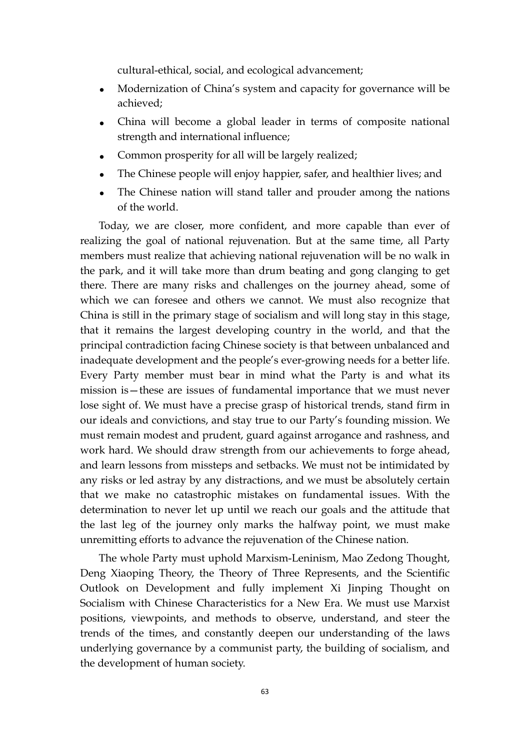cultural-ethical, social, and ecological advancement;

- Modernization of China's system and capacity for governance will be achieved;
- China will become a global leader in terms of composite national strength and international influence;
- Common prosperity for all will be largely realized;
- The Chinese people will enjoy happier, safer, and healthier lives; and
- The Chinese nation will stand taller and prouder among the nations of the world.

Today, we are closer, more confident, and more capable than ever of realizing the goal of national rejuvenation. But at the same time, all Party members must realize that achieving national rejuvenation will be no walk in the park, and it will take more than drum beating and gong clanging to get there. There are many risks and challenges on the journey ahead, some of which we can foresee and others we cannot. We must also recognize that China is still in the primary stage of socialism and will long stay in this stage, that it remains the largest developing country in the world, and that the principal contradiction facing Chinese society is that between unbalanced and inadequate development and the people's ever-growing needs for a better life. Every Party member must bear in mind what the Party is and what its mission is—these are issues of fundamental importance that we must never lose sight of. We must have a precise grasp of historical trends, stand firm in our ideals and convictions, and stay true to our Party's founding mission. We must remain modest and prudent, guard against arrogance and rashness, and work hard. We should draw strength from our achievements to forge ahead, and learn lessons from missteps and setbacks. We must not be intimidated by any risks or led astray by any distractions, and we must be absolutely certain that we make no catastrophic mistakes on fundamental issues. With the determination to never let up until we reach our goals and the attitude that the last leg of the journey only marks the halfway point, we must make unremitting efforts to advance the rejuvenation of the Chinese nation.

The whole Party must uphold Marxism-Leninism, Mao Zedong Thought, Deng Xiaoping Theory, the Theory of Three Represents, and the Scientific Outlook on Development and fully implement Xi Jinping Thought on Socialism with Chinese Characteristics for a New Era. We must use Marxist positions, viewpoints, and methods to observe, understand, and steer the trends of the times, and constantly deepen our understanding of the laws underlying governance by a communist party, the building of socialism, and the development of human society.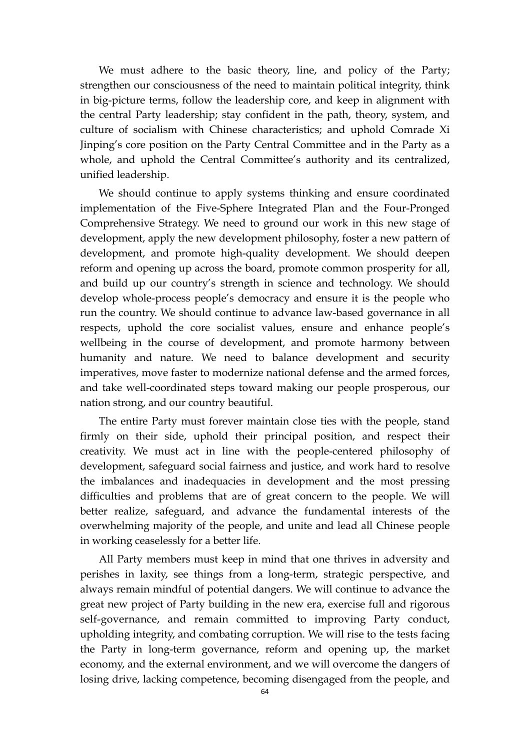We must adhere to the basic theory, line, and policy of the Party; strengthen our consciousness of the need to maintain political integrity, think in big-picture terms, follow the leadership core, and keep in alignment with the central Party leadership; stay confident in the path, theory, system, and culture of socialism with Chinese characteristics; and uphold Comrade Xi Jinping's core position on the Party Central Committee and in the Party as a whole, and uphold the Central Committee's authority and its centralized, unified leadership.

We should continue to apply systems thinking and ensure coordinated implementation of the Five-Sphere Integrated Plan and the Four-Pronged Comprehensive Strategy. We need to ground our work in this new stage of development, apply the new development philosophy, foster a new pattern of development, and promote high-quality development. We should deepen reform and opening up across the board, promote common prosperity for all, and build up our country's strength in science and technology. We should develop whole-process people's democracy and ensure it is the people who run the country. We should continue to advance law-based governance in all respects, uphold the core socialist values, ensure and enhance people's wellbeing in the course of development, and promote harmony between humanity and nature. We need to balance development and security imperatives, move faster to modernize national defense and the armed forces, and take well-coordinated steps toward making our people prosperous, our nation strong, and our country beautiful.

The entire Party must forever maintain close ties with the people, stand firmly on their side, uphold their principal position, and respect their creativity. We must act in line with the people-centered philosophy of development, safeguard social fairness and justice, and work hard to resolve the imbalances and inadequacies in development and the most pressing difficulties and problems that are of great concern to the people. We will better realize, safeguard, and advance the fundamental interests of the overwhelming majority of the people, and unite and lead all Chinese people in working ceaselessly for a better life.

All Party members must keep in mind that one thrives in adversity and perishes in laxity, see things from a long-term, strategic perspective, and always remain mindful of potential dangers. We will continue to advance the great new project of Party building in the new era, exercise full and rigorous self-governance, and remain committed to improving Party conduct, upholding integrity, and combating corruption. We will rise to the tests facing the Party in long-term governance, reform and opening up, the market economy, and the external environment, and we will overcome the dangers of losing drive, lacking competence, becoming disengaged from the people, and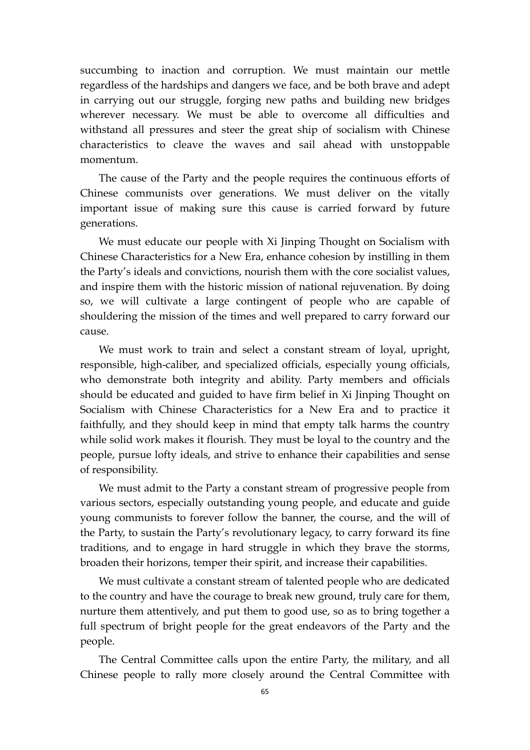succumbing to inaction and corruption. We must maintain our mettle regardless of the hardships and dangers we face, and be both brave and adept in carrying out our struggle, forging new paths and building new bridges wherever necessary. We must be able to overcome all difficulties and withstand all pressures and steer the great ship of socialism with Chinese characteristics to cleave the waves and sail ahead with unstoppable momentum.

The cause of the Party and the people requires the continuous efforts of Chinese communists over generations. We must deliver on the vitally important issue of making sure this cause is carried forward by future generations.

We must educate our people with Xi Jinping Thought on Socialism with Chinese Characteristics for a New Era, enhance cohesion by instilling in them the Party's ideals and convictions, nourish them with the core socialist values, and inspire them with the historic mission of national rejuvenation. By doing so, we will cultivate a large contingent of people who are capable of shouldering the mission of the times and well prepared to carry forward our cause.

We must work to train and select a constant stream of loyal, upright, responsible, high-caliber, and specialized officials, especially young officials, who demonstrate both integrity and ability. Party members and officials should be educated and guided to have firm belief in Xi Jinping Thought on Socialism with Chinese Characteristics for a New Era and to practice it faithfully, and they should keep in mind that empty talk harms the country while solid work makes it flourish. They must be loyal to the country and the people, pursue lofty ideals, and strive to enhance their capabilities and sense of responsibility.

We must admit to the Party a constant stream of progressive people from various sectors, especially outstanding young people, and educate and guide young communists to forever follow the banner, the course, and the will of the Party, to sustain the Party's revolutionary legacy, to carry forward its fine traditions, and to engage in hard struggle in which they brave the storms, broaden their horizons, temper their spirit, and increase their capabilities.

We must cultivate a constant stream of talented people who are dedicated to the country and have the courage to break new ground, truly care for them, nurture them attentively, and put them to good use, so as to bring together a full spectrum of bright people for the great endeavors of the Party and the people.

The Central Committee calls upon the entire Party, the military, and all Chinese people to rally more closely around the Central Committee with